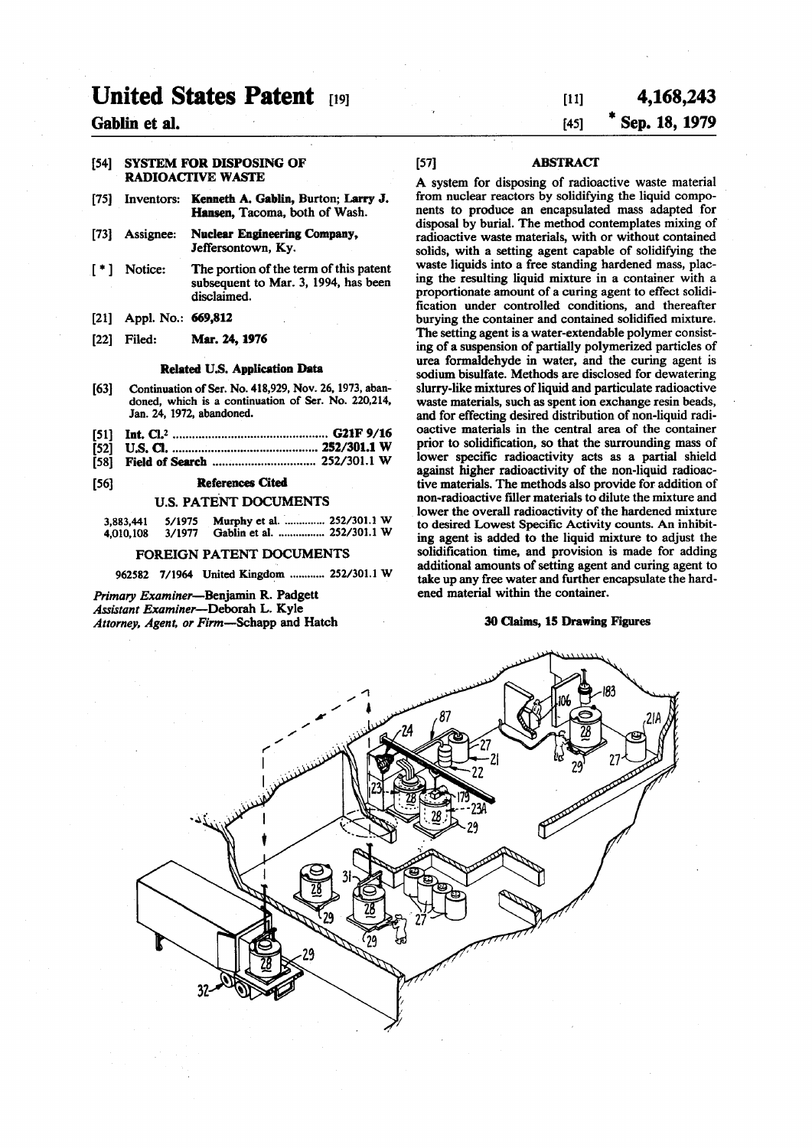# **United States Patent [19]**

# **Gablin et al.**

### **[54] SYSTEM FOR DISPOSING OF RADIOACTIVE WASTE**

- **[75] Inventors: Kenneth A. Gablin, Burton; Larry J. Hansen, Tacoma, both of Wash.**
- **[73] Assignee: Nuclear Engineering Company, Jeffersontown, Ky.**
- **[ \* ] Notice: The portion of the term of this patent subsequent to Mar. 3, 1994, has been disclaimed.**
- **[21] Appl. No.: 669,812**
- **[22] Filed: Mar. 24,1976**

### **Related U.S. Application Data**

- **[63]** Continuation of Ser. No. 418,929, Nov. 26, 1973, abandoned, which is a continuation of Ser. No. 220,214, Jan. 24, 1972, abandoned.
- **[51] Int. CI.\* G21F 9/16**
- **[52] U.S. CI 252/301.1 W**
- **[58] Field of Search 252/301.1 W**

# **[56] References Cited**

### **U.S. PATENT DOCUMENTS**

| 3,883,441 | 5/1975 | Murphy et al.  252/301.1 W |  |
|-----------|--------|----------------------------|--|
| 4,010,108 | 3/1977 | Gablin et al.  252/301.1 W |  |

### **FOREIGN PATENT DOCUMENTS**

962582 7/1964 United Kingdom ............ 252/301.1 W

*Primary Examiner***—Benjamin R. Padgett**  *Assistant Examiner***—Deborah L. Kyle**  *Attorney, Agent, or Firm***—Schapp and Hatch** 

# **[ii] 4,168,243 [45] \* Sep. 18,1979**

# **[57] ABSTRACT**

**A system for disposing of radioactive waste material from nuclear reactors by solidifying the liquid components to produce an encapsulated mass adapted for disposal by burial. The method contemplates mixing of radioactive waste materials, with or without contained solids, with a setting agent capable of solidifying the waste liquids into a free standing hardened mass, placing the resulting liquid mixture in a container with a proportionate amount of a curing agent to effect solidification under controlled conditions, and thereafter burying the container and contained solidified mixture. The setting agent is a water-extendable polymer consisting of a suspension of partially polymerized particles of urea formaldehyde in water, and the curing agent is sodium bisulfate. Methods are disclosed for dewatering slurry-like mixtures of liquid and particulate radioactive waste materials, such as spent ion exchange resin beads, and for effecting desired distribution of non-liquid radioactive materials in the central area of the container prior to solidification, so that the surrounding mass of lower specific radioactivity acts as a partial shield against higher radioactivity of the non-liquid radioactive materials. The methods also provide for addition of non-radioactive filler materials to dilute the mixture and lower the overall radioactivity of the hardened mixture to desired Lowest Specific Activity counts. An inhibiting agent is added to the liquid mixture to adjust the solidification time, and provision is made for adding additional amounts of setting agent and curing agent to take up any free water and further encapsulate the hardened material within the container.** 

# **30 Claims, 15 Drawing Figures**

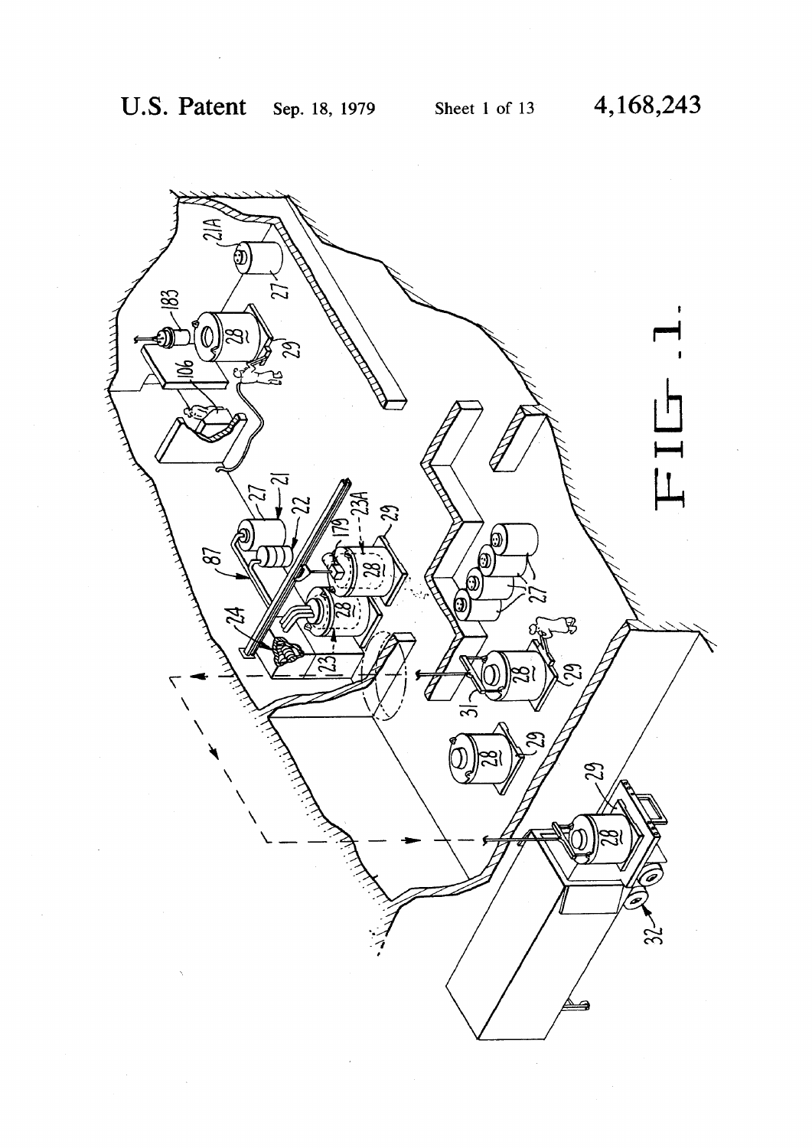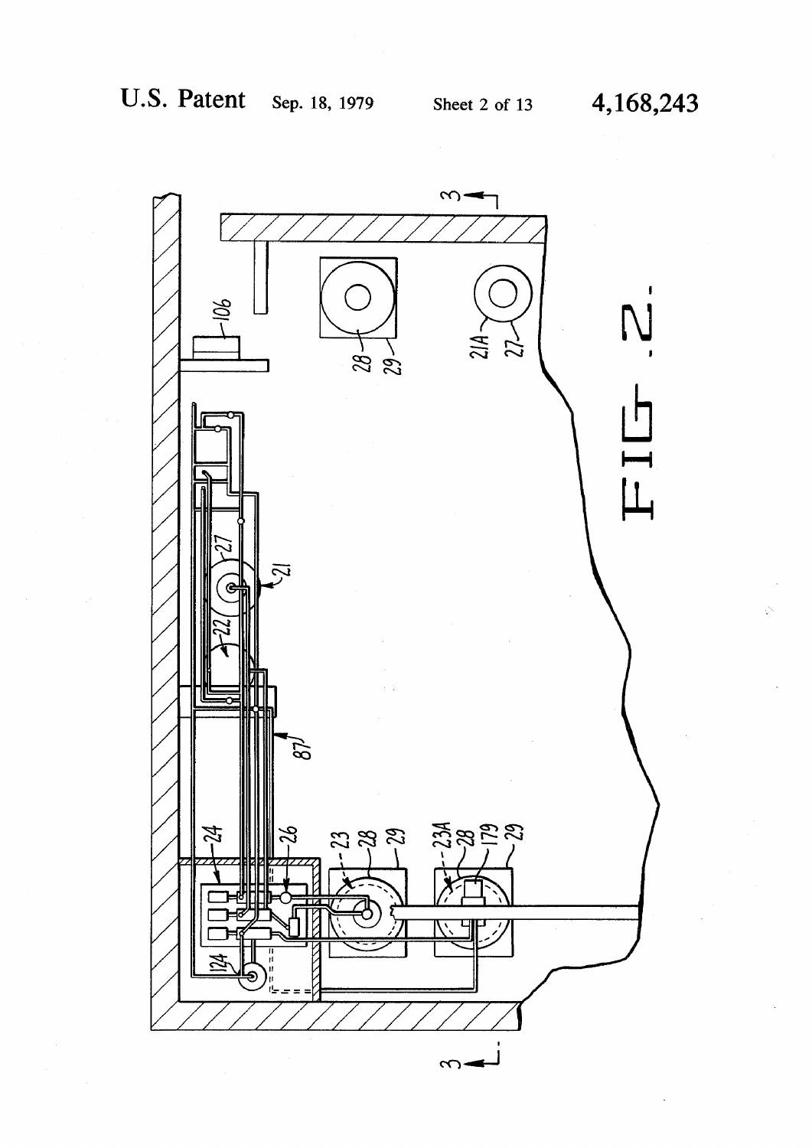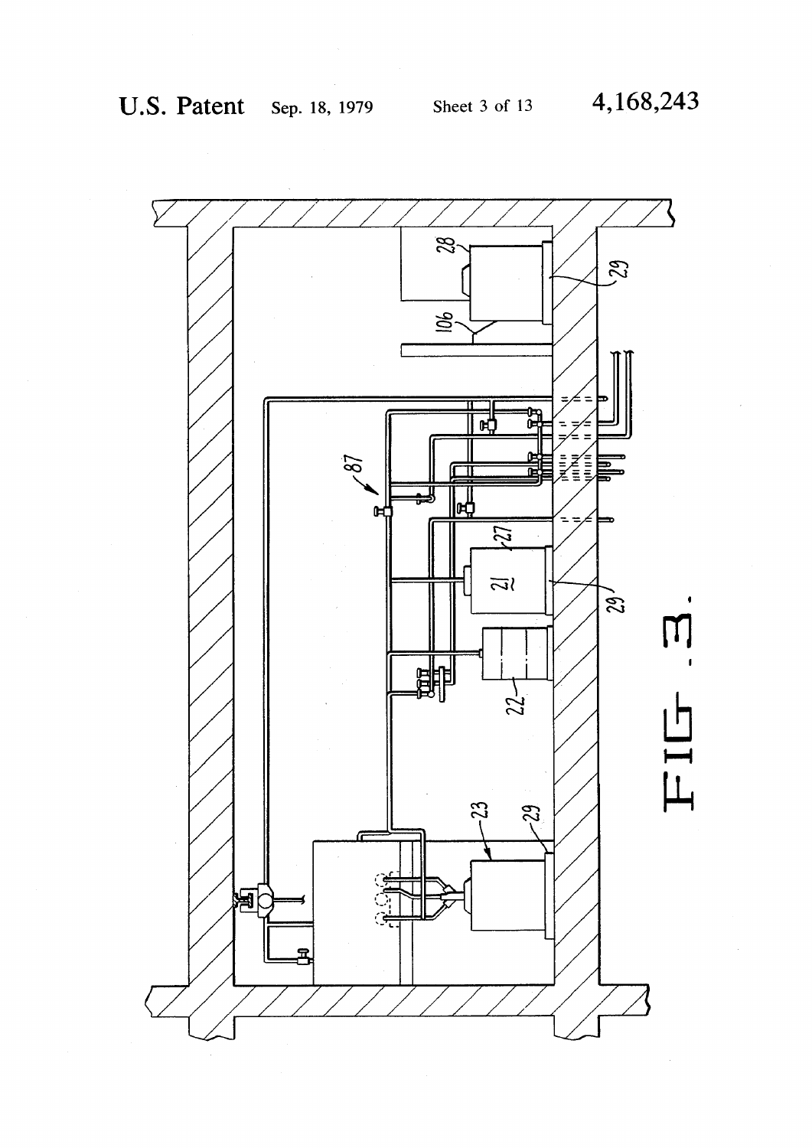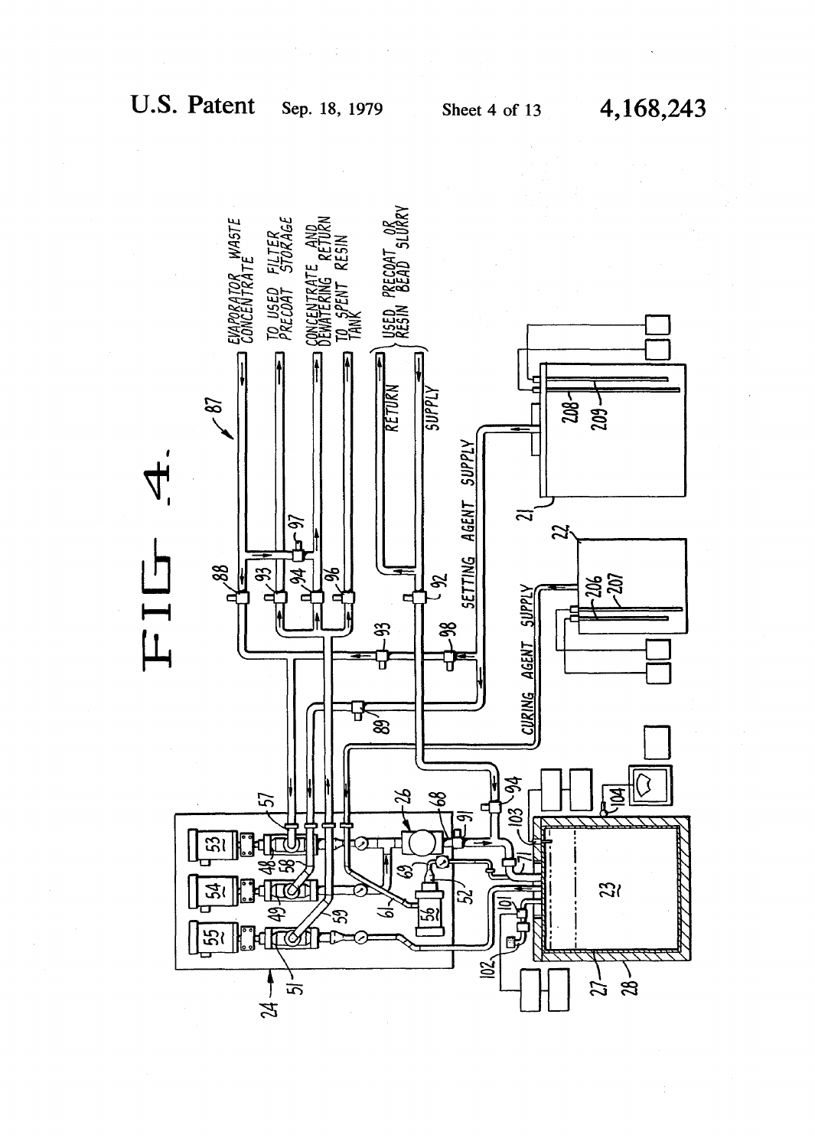$\mathcal{F}^{\text{max}}_{\text{max}}$  and  $\mathcal{F}^{\text{max}}_{\text{max}}$ 

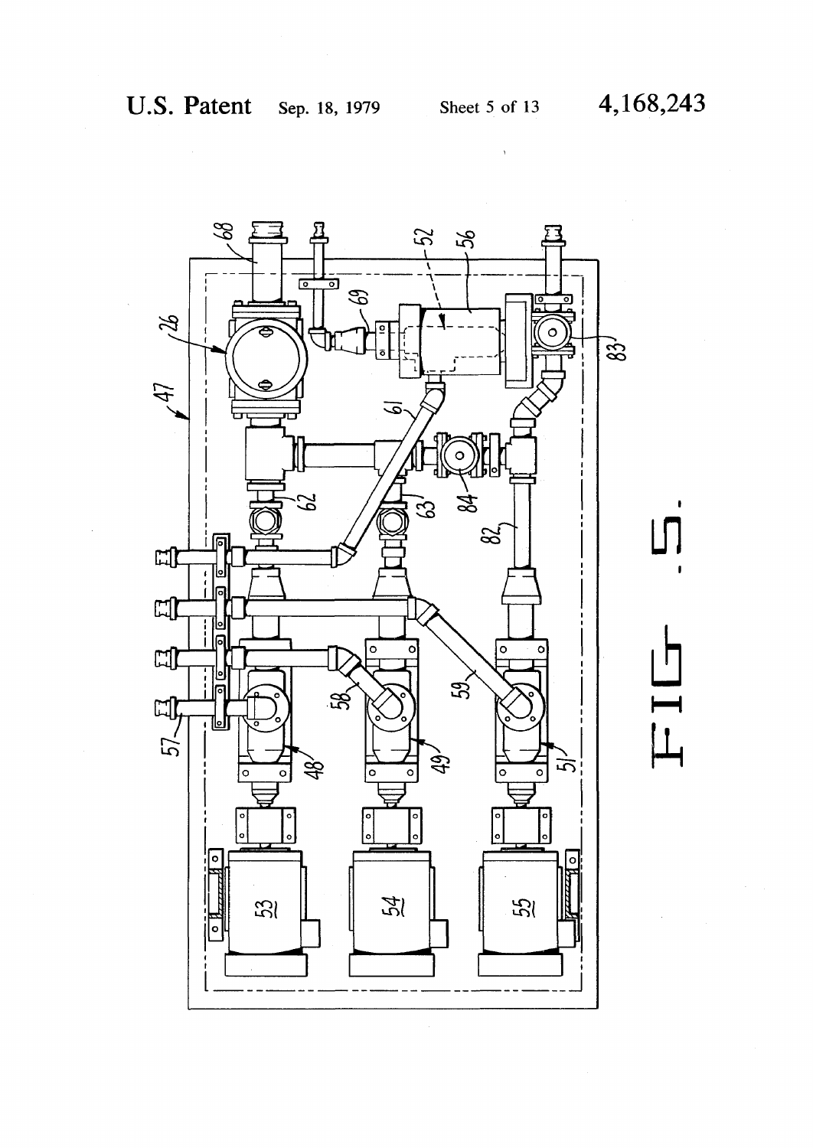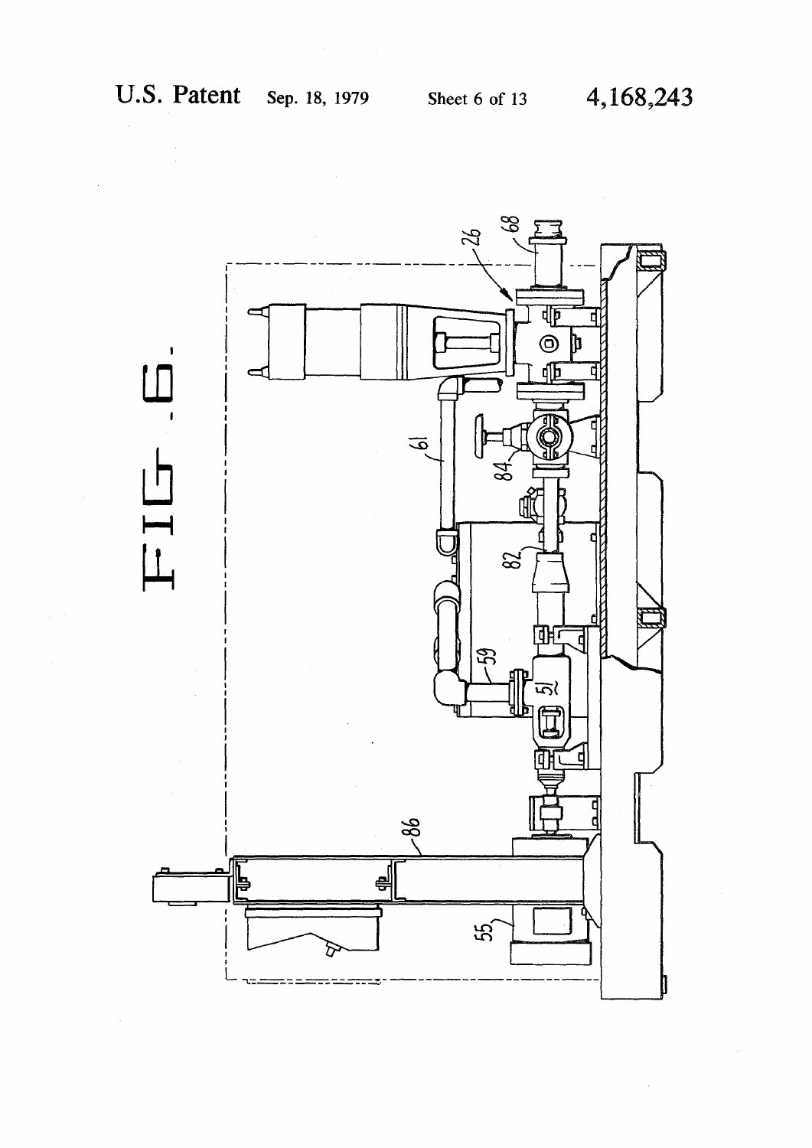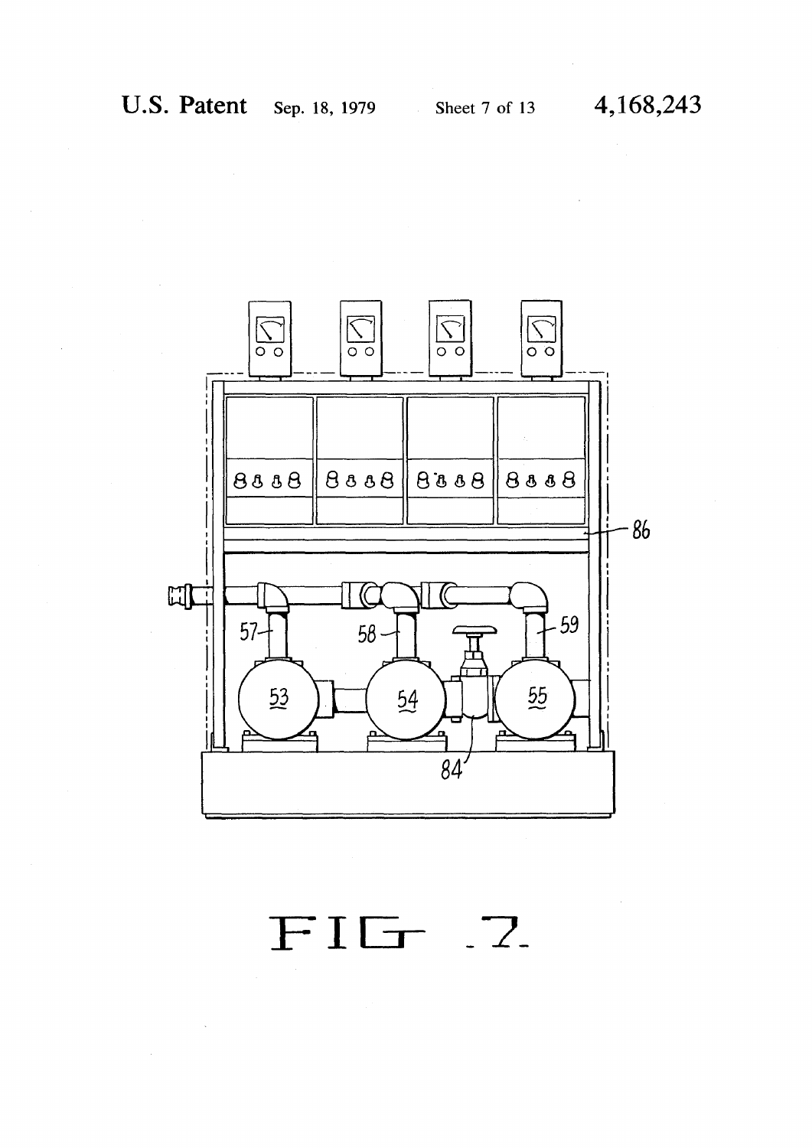

FIG 7.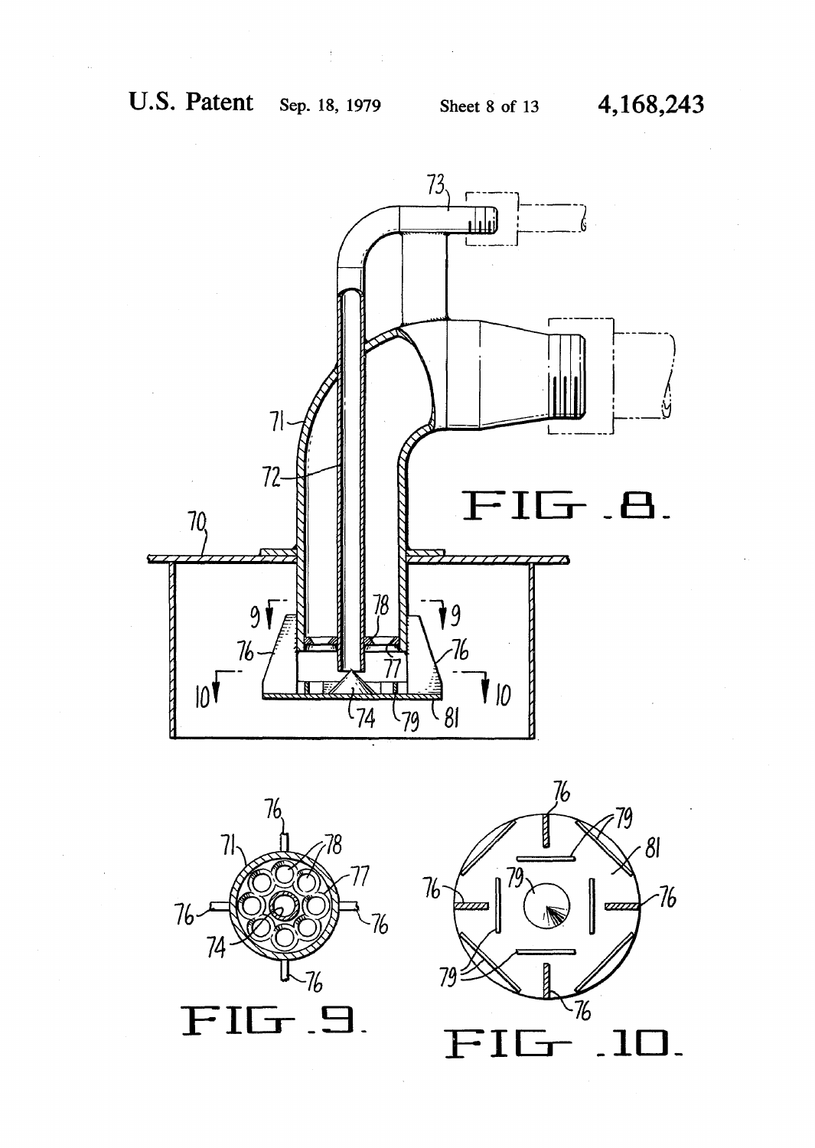t





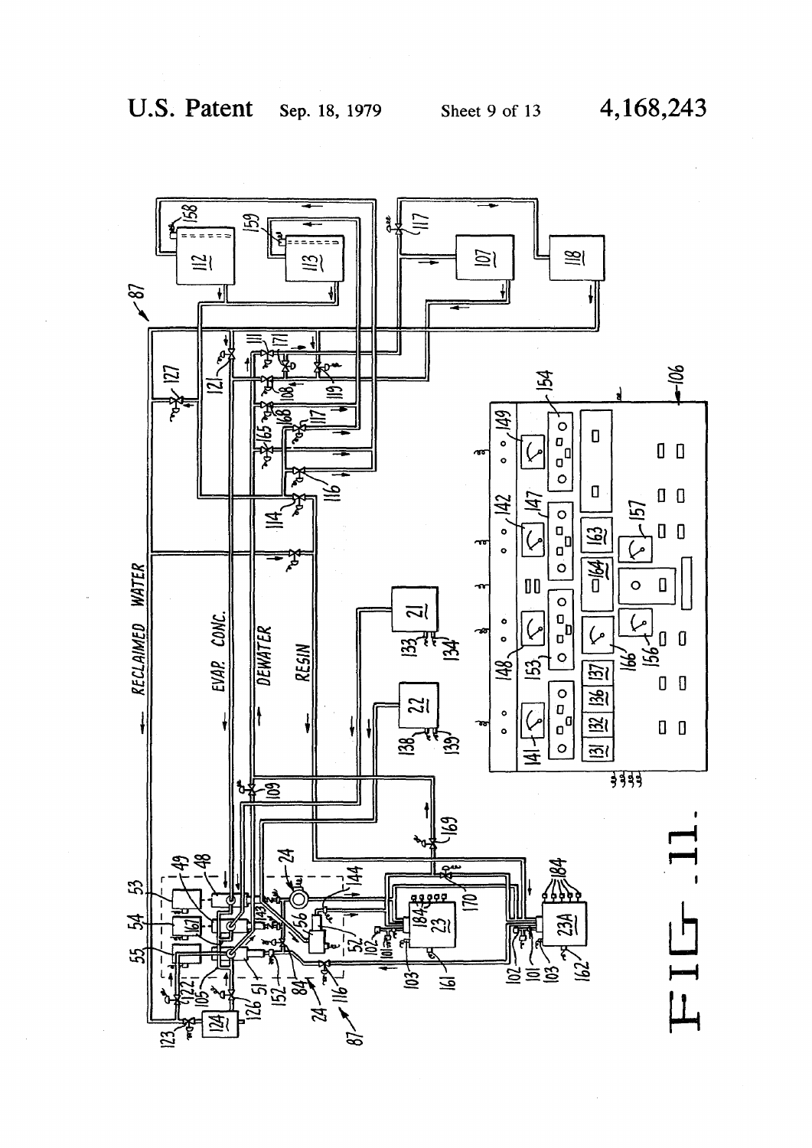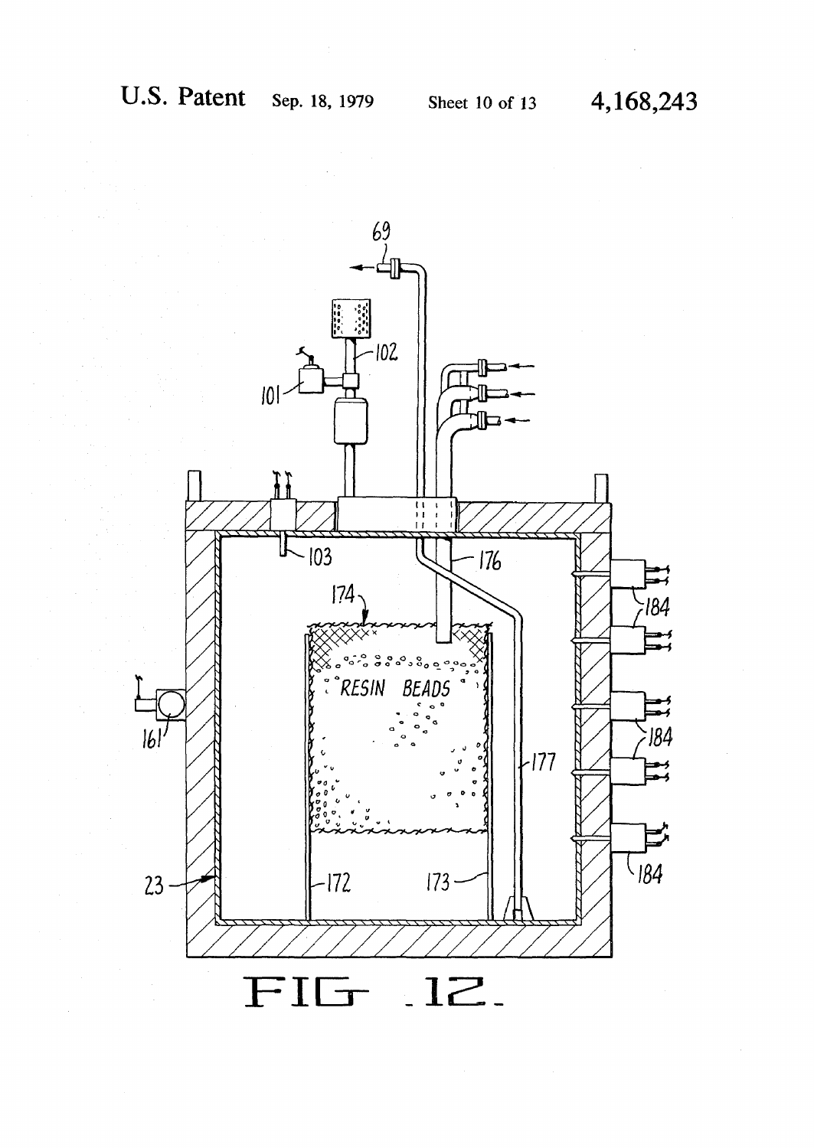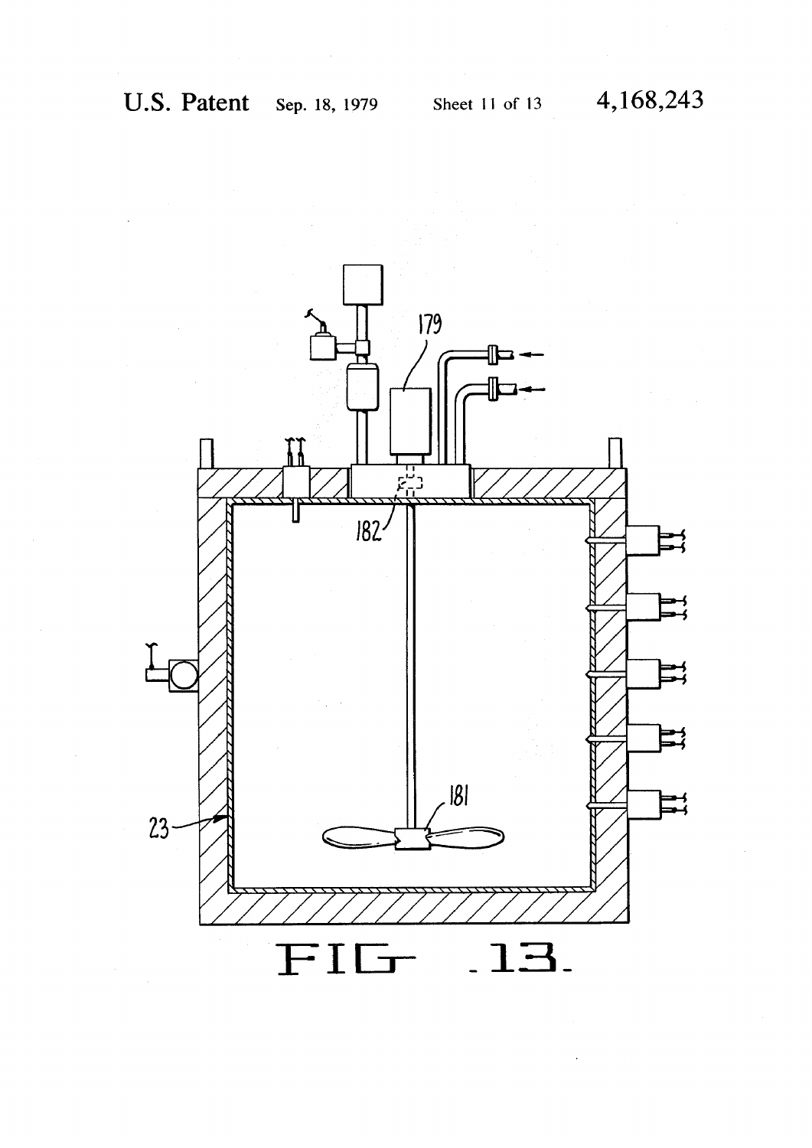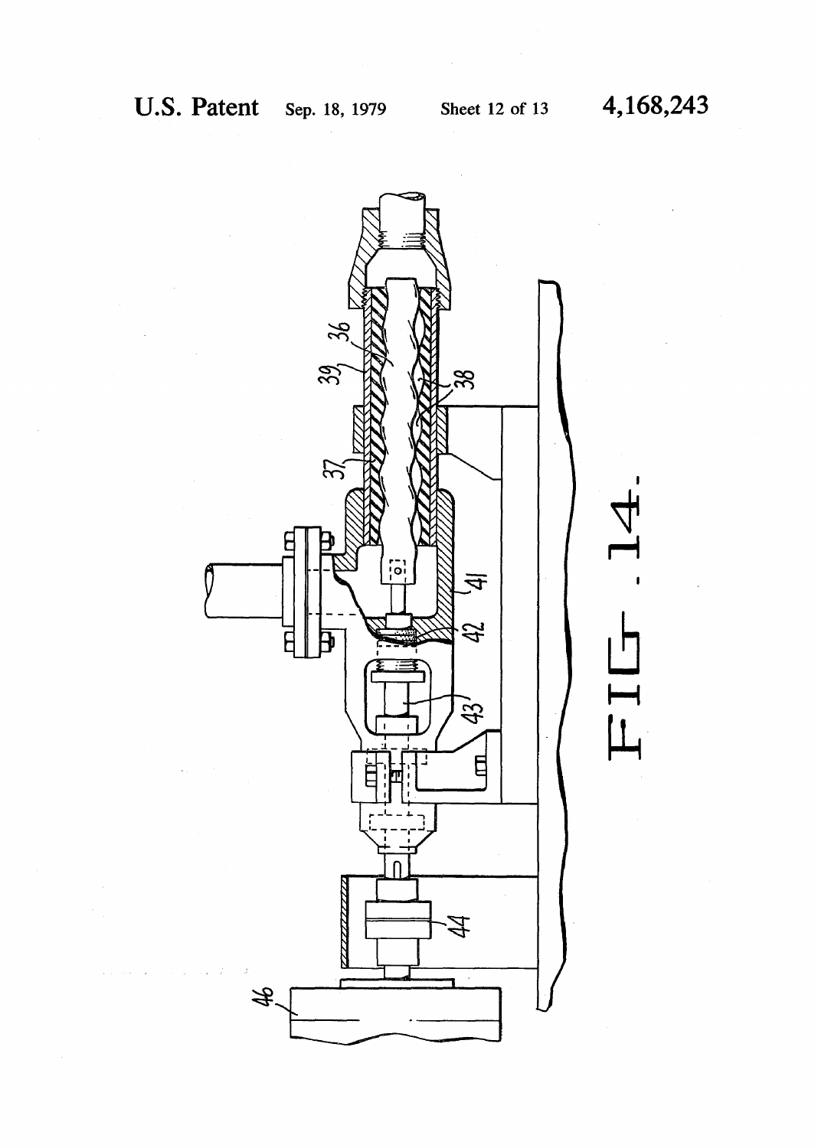**i** 

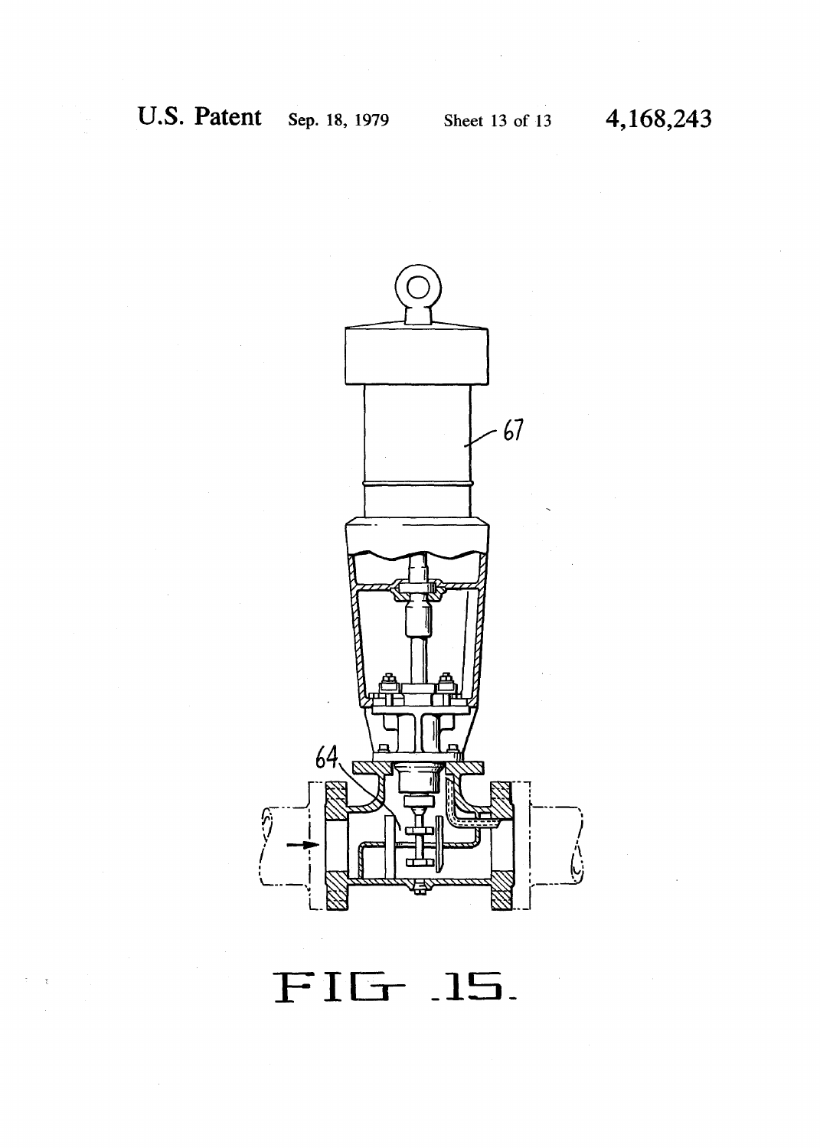

FIG 15.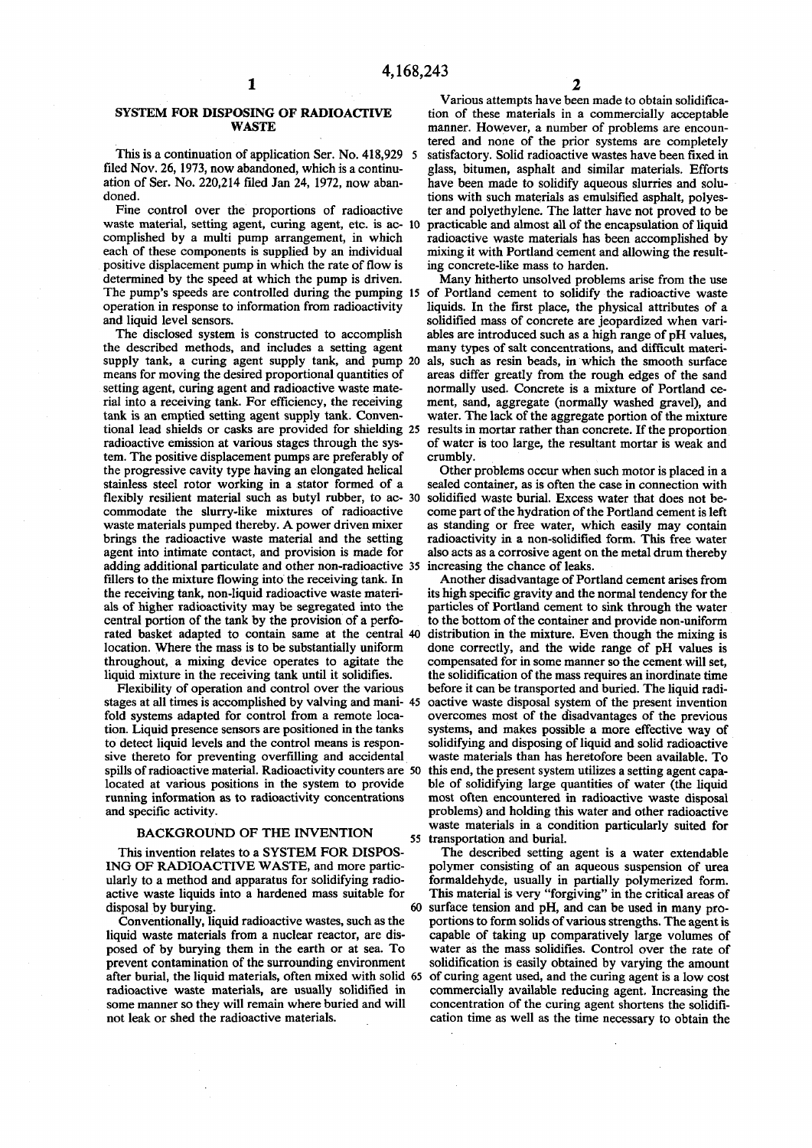# **SYSTEM FOR DISPOSING OF RADIOACTIVE WASTE**

**This is a continuation of application Ser. No. 418,929 5 filed Nov. 26,1973, now abandoned, which is a continuation of Ser. No. 220,214 filed Jan 24, 1972, now abandoned.** 

**Fine control over the proportions of radioactive waste material, setting agent, curing agent, etc. is ac- 10 complished by a multi pump arrangement, in which each of these components is supplied by an individual positive displacement pump in which the rate of flow is determined by the speed at which the pump is driven. operation in response to information from radioactivity and liquid level sensors.** 

**The disclosed system is constructed to accomplish the described methods, and includes a setting agent supply tank, a curing agent supply tank, and pump 20 means for moving the desired proportional quantities of setting agent, curing agent and radioactive waste material into a receiving tank. For efficiency, the receiving tank is an emptied setting agent supply tank. Conventional lead shields or casks are provided for shielding 25 radioactive emission at various stages through the system. The positive displacement pumps are preferably of the progressive cavity type having an elongated helical stainless steel rotor working in a stator formed of a flexibly resilient material such as butyl rubber, to ac- 30 commodate the slurry-like mixtures of radioactive waste materials pumped thereby. A power driven mixer brings the radioactive waste material and the setting agent into intimate contact, and provision is made for adding additional particulate and other non-radioactive 35 fillers to the mixture flowing into the receiving tank. In the receiving tank, non-liquid radioactive waste materials of higher radioactivity may be segregated into the central portion of the tank by the provision of a perforated basket adapted to contain same at the central 40 location. Where the mass is to be substantially uniform throughout, a mixing device operates to agitate the liquid mixture in the receiving tank until it solidifies.** 

**Flexibility of operation and control over the various stages at all times is accomplished by valving and mani- 45 fold systems adapted for control from a remote location. Liquid presence sensors are positioned in the tanks to detect liquid levels and the control means is responsive thereto for preventing overfilling and accidental spills of radioactive material. Radioactivity counters are 50 located at various positions in the system to provide running information as to radioactivity concentrations and specific activity.** 

# **BACKGROUND OF THE INVENTION 55**

**This invention relates to a SYSTEM FOR DISPOS-ING OF RADIOACTIVE WASTE, and more particularly to a method and apparatus for solidifying radioactive waste liquids into a hardened mass suitable for**  disposal by burying. 60

**Conventionally, liquid radioactive wastes, such as the liquid waste materials from a nuclear reactor, are disposed of by burying them in the earth or at sea. To prevent contamination of the surrounding environment after burial, the liquid materials, often mixed with solid 65 radioactive waste materials, are usually solidified in some manner so they will remain where buried and will not leak or shed the radioactive materials.** 

**Various attempts have been made to obtain solidification of these materials in a commercially acceptable manner. However, a number of problems are encountered and none of the prior systems are completely satisfactory. Solid radioactive wastes have been fixed in glass, bitumen, asphalt and similar materials. Efforts have been made to solidify aqueous slurries and solutions with such materials as emulsified asphalt, polyester and polyethylene. The latter have not proved to be practicable and almost all of the encapsulation of liquid radioactive waste materials has been accomplished by mixing it with Portland cement and allowing the resulting concrete-like mass to harden.** 

**The pump's speeds are controlled during the pumping 15 of Portland cement to solidify the radioactive waste Many hitherto unsolved problems arise from the use liquids. In the first place, the physical attributes of a solidified mass of concrete are jeopardized when variables are introduced such as a high range of pH values, many types of salt concentrations, and difficult materials, such as resin beads, in which the smooth surface areas differ greatly from the rough edges of the sand normally used. Concrete is a mixture of Portland cement, sand, aggregate (normally washed gravel), and water. The lack of the aggregate portion of the mixture results in mortar rather than concrete. If the proportion of water is too large, the resultant mortar is weak and crumbly.** 

> **Other problems occur when such motor is placed in a sealed container, as is often the case in connection with solidified waste burial. Excess water that does not become part of the hydration of the Portland cement is left as standing or free water, which easily may contain radioactivity in a non-solidified form. This free water also acts as a corrosive agent on the metal drum thereby increasing the chance of leaks.**

> **Another disadvantage of Portland cement arises from its high specific gravity and the normal tendency for the particles of Portland cement to sink through the water to the bottom of the container and provide non-uniform distribution in the mixture. Even though the mixing is done correctly, and the wide range of pH values is compensated for in some manner so the cement will set, the solidification of the mass requires an inordinate time before it can be transported and buried. The liquid radioactive waste disposal system of the present invention overcomes most of the disadvantages of the previous systems, and makes possible a more effective way of solidifying and disposing of liquid and solid radioactive waste materials than has heretofore been available. To this end, the present system utilizes a setting agent capable of solidifying large quantities of water (the liquid most often encountered in radioactive waste disposal problems) and holding this water and other radioactive waste materials in a condition particularly suited for transportation and burial.**

> **The described setting agent is a water extendable polymer consisting of an aqueous suspension of urea formaldehyde, usually in partially polymerized form. This material is very "forgiving" in the critical areas of surface tension and pH, and can be used in many proportions to form solids of various strengths. The agent is capable of taking up comparatively large volumes of water as the mass solidifies. Control over the rate of solidification is easily obtained by varying the amount of curing agent used, and the curing agent is a low cost commercially available reducing agent. Increasing the concentration of the curing agent shortens the solidification time as well as the time necessary to obtain the**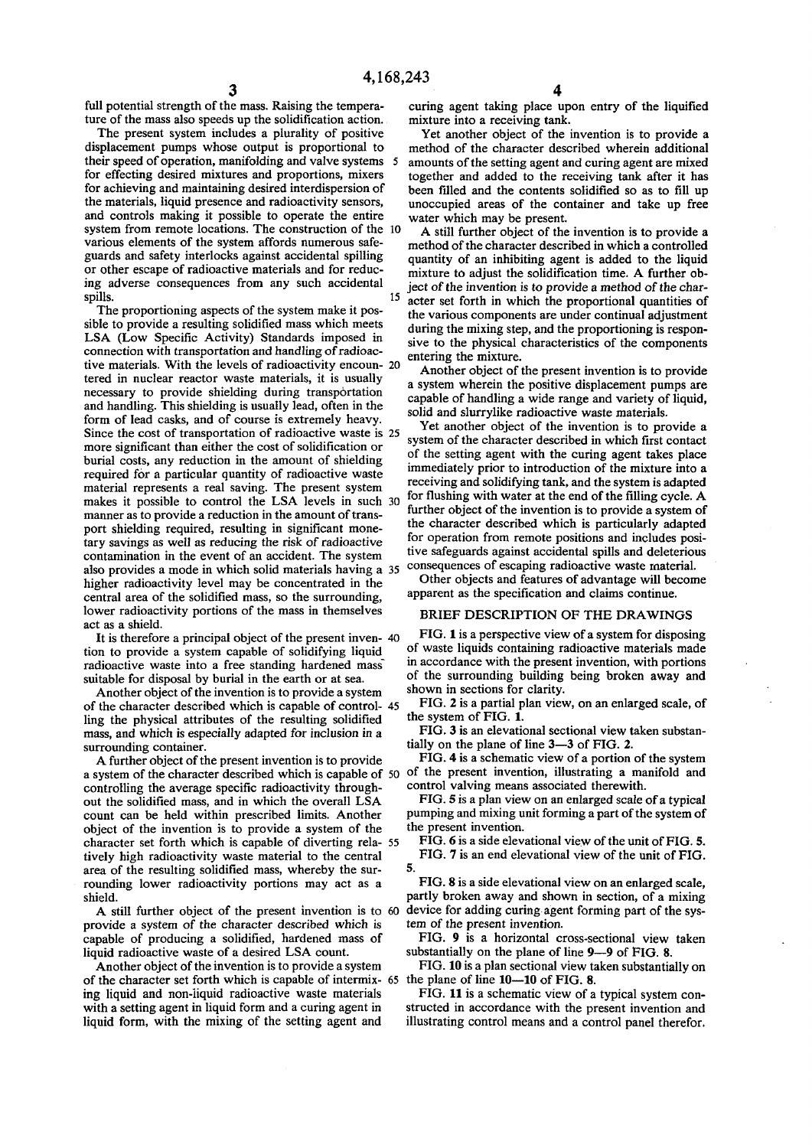**full potential strength of the mass. Raising the temperature of the mass also speeds up the solidification action.** 

**The present system includes a plurality of positive displacement pumps whose output is proportional to their speed of operation, manifolding and valve systems 5 for effecting desired mixtures and proportions, mixers for achieving and maintaining desired interdispersion of the materials, liquid presence and radioactivity sensors, and controls making it possible to operate the entire system from remote locations. The construction of the 10 various elements of the system affords numerous safeguards and safety interlocks against accidental spilling or other escape of radioactive materials and for reducing adverse consequences from any such accidental**  spills. 15

**The proportioning aspects of the system make it possible to provide a resulting solidified mass which meets LSA (Low Specific Activity) Standards imposed in connection with transportation and handling of radioactive materials. With the levels of radioactivity encoun- 20 tered in nuclear reactor waste materials, it is usually necessary to provide shielding during transportation and handling. This shielding is usually lead, often in the form of lead casks, and of course is extremely heavy. Since the cost of transportation of radioactive waste is 25 more significant than either the cost of solidification or burial costs, any reduction in the amount of shielding required for a particular quantity of radioactive waste material represents a real saving. The present system makes it possible to control the LSA levels in such 30 manner as to provide a reduction in the amount of transport shielding required, resulting in significant monetary savings as well as reducing the risk of radioactive contamination in the event of an accident. The system also provides a mode in which solid materials having a 35 higher radioactivity level may be concentrated in the central area of the solidified mass, so the surrounding, lower radioactivity portions of the mass in themselves act as a shield.** 

**It is therefore a principal object of the present inven- 40 tion to provide a system capable of solidifying liquid**  radioactive waste into a free standing hardened mass **suitable for disposal by burial in the earth or at sea.** 

**Another object of the invention is to provide a system of the character described which is capable of control- 45 ling the physical attributes of the resulting solidified mass, and which is especially adapted for inclusion in a surrounding container.** 

**A further object of the present invention is to provide a system of the character described which is capable of 50 controlling the average specific radioactivity throughout the solidified mass, and in which the overall LSA count can be held within prescribed limits. Another object of the invention is to provide a system of the character set forth which is capable of diverting rela- 55 tively high radioactivity waste material to the central area of the resulting solidified mass, whereby the surrounding lower radioactivity portions may act as a shield.** 

**A still further object of the present invention is to 60 provide a system of the character described which is capable of producing a solidified, hardened mass of liquid radioactive waste of a desired LSA count.** 

**Another object of the invention is to provide a system of the character set forth which is capable of intermix- 65 ing liquid and non-liquid radioactive waste materials with a setting agent in liquid form and a curing agent in liquid form, with the mixing of the setting agent and** 

**curing agent taking place upon entry of the liquified mixture into a receiving tank.** 

**Yet another object of the invention is to provide a method of the character described wherein additional amounts of the setting agent and curing agent are mixed together and added to the receiving tank after it has been filled and the contents solidified so as to fill up unoccupied areas of the container and take up free water which may be present.** 

**A still further object of the invention is to provide a method of the character described in which a controlled quantity of an inhibiting agent is added to the liquid mixture to adjust the solidification time. A further object of the invention is to provide a method of the character set forth in which the proportional quantities of the various components are under continual adjustment during the mixing step, and the proportioning is responsive to the physical characteristics of the components entering the mixture.** 

**Another object of the present invention is to provide a system wherein the positive displacement pumps are capable of handling a wide range and variety of liquid, solid and slurrylike radioactive waste materials.** 

**Yet another object of the invention is to provide a system of the character described in which first contact of the setting agent with the curing agent takes place immediately prior to introduction of the mixture into a receiving and solidifying tank, and the system is adapted for flushing with water at the end of the filling cycle. A further object of the invention is to provide a system of the character described which is particularly adapted for operation from remote positions and includes positive safeguards against accidental spills and deleterious consequences of escaping radioactive waste material.** 

**Other objects and features of advantage will become apparent as the specification and claims continue.** 

#### **BRIEF DESCRIPTION OF THE DRAWINGS**

**FIG. 1 is a perspective view of a system for disposing of waste liquids containing radioactive materials made in accordance with the present invention, with portions of the surrounding building being broken away and shown in sections for clarity.** 

**FIG. 2 is a partial plan view, on an enlarged scale, of the system of FIG. 1.** 

**FIG. 3 is an elevational sectional view taken substantially on the plane of line 3—3 of FIG. 2.** 

**FIG. 4 is a schematic view of a portion of the system of the present invention, illustrating a manifold and control valving means associated therewith.** 

**FIG. 5 is a plan view on an enlarged scale of a typical pumping and mixing unit forming a part of the system of the present invention.** 

**FIG. 6 is a side elevational view of the unit of FIG. 5. FIG. 7 is an end elevational view of the unit of FIG. 5.** 

**FIG. 8 is a side elevational view on an enlarged scale, partly broken away and shown in section, of a mixing device for adding curing agent forming part of the system of the present invention.** 

**FIG. 9 is a horizontal cross-sectional view taken substantially on the plane of line 9—9 of FIG. 8.** 

**FIG. 10 is a plan sectional view taken substantially on the plane of line 10—10 of FIG. 8.** 

**FIG. 11 is a schematic view of a typical system constructed in accordance with the present invention and illustrating control means and a control panel therefor.** 

3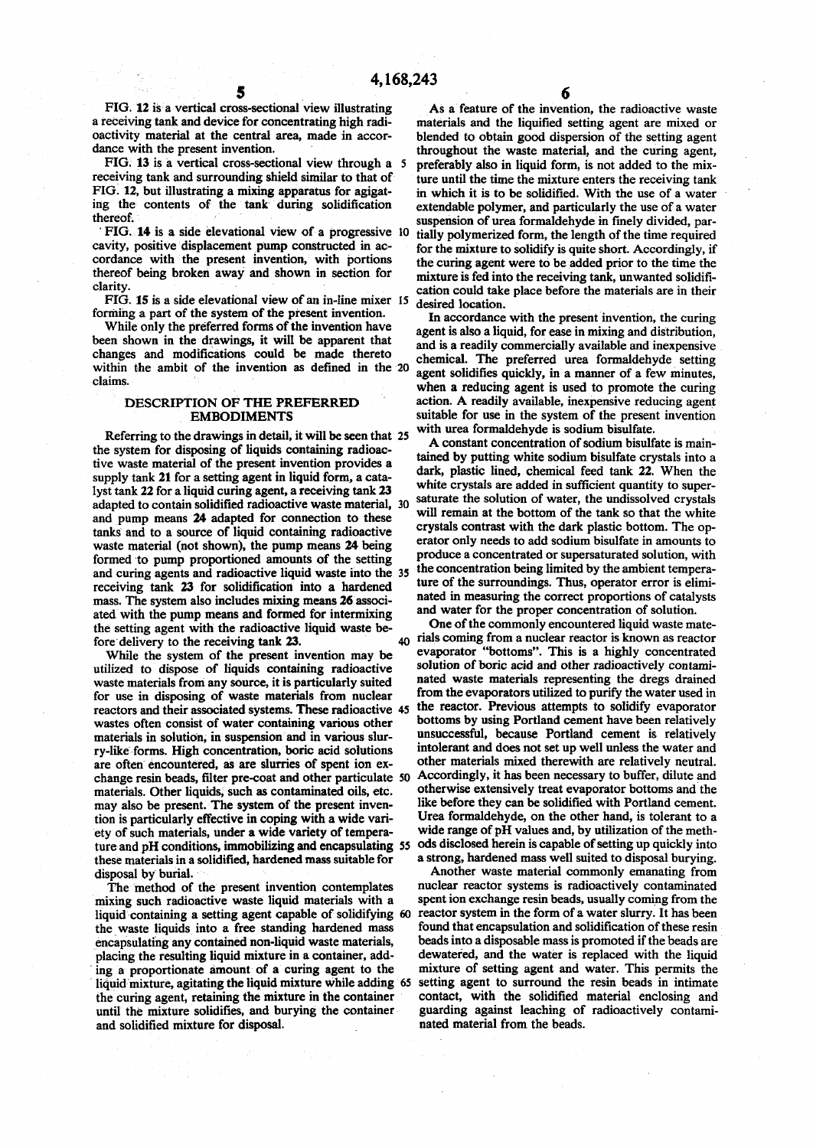FIG. 12 is a vertical cross-sectional view illustrating As a feature of the invention, the radioactive waste **a receiving tank and device for concentrating high radi- materials and the liquified setting agent are mixed or oactivity material at the central area, made in accor- blended to obtain good dispersion of the setting agent** 

**FIG. 13** is a vertical cross-sectional view through a 5 preferably also in liquid form, is not added to the mix-<br>receiving tank and surrounding shield similar to that of ture until the time the mixture enters the receivin receiving tank and surrounding shield similar to that of ture until the time the mixture enters the receiving tank<br>FIG. 12, but illustrating a mixing apparatus for agigat-<br>in which it is to be solidified. With the use of a **FIG. 12, but illustrating a mixing apparatus for agigat- in which it is to be solidified. With the use of a water**  ing the contents of the tank during solidification extendable polymer, and particularly the use of a water thereof.

**cordance with the present invention, with portions** the curing agent were to be added prior to the time the thereof being broken away and shown in section for mixture is fed into the receiving tank unwanted solidifithereof being broken away and shown in section for mixture is fed into the receiving tank, unwanted solidifi-<br>clarity. extion could take also before the materials are in their

**FIG. 15 is a side elevational view of an in-line mixer 15 desired location,** 

been shown in the drawings, it will be apparent that and is a readily commercially available and inexpensive **changes and modifications could be made thereto chemical . The preferred urea formaldehyde setting**  within the ambit of the invention as defined in the 20 claims.

Referring to the drawings in detail, it will be seen that 25<br>e system for disposing of liquids containing radioac-<br>a constant concentration of sodium bisulfate is main-<br>tained by putting white sodium bisulfate crystals int **the system for disposing of liquids containing radioac- . . . . ... ,. , . .. ^ • , . ^**  tive waste material of the present invention provides a supply tank 21 for a setting agent in liquid form, a cata-<br>lyst tank 22 for a liquid curing agent, a receiving tank 23 white crystals are added in sufficient quantity to superlyst tank 22 for a liquid curing agent, a receiving tank 23 white crystals are added in sufficient quannely to super-<br>adapted to contain solidified radioactive waste material. 30 saturate the solution of water, the undisso **adapted to contain solidified radioactive waste material, 30 and pump means 24 adapted for connection to these** tanks and to a source of liquid containing radioactive **waste material (not shown), the pump means 24 being** formed to pump proportioned amounts of the setting produce a concentrated or supersaturated solution, with <sup>produce a concentrated or supersaturated solution, with</sup> **and curing agents and radioactive liquid waste into the 35 receiving tank 23 for solidification into a hardened mass. The system also includes mixing means 26 associ ated with the pump means and formed for intermixing** the setting agent with the radioactive liquid waste be-<br>
fore delivery to the receiving tank 23<br>
one of the commonly encountered liquid waste mate-<br>  $\frac{d\rho}{dt}$  rials coming from a nuclear reactor is known as reactor

utilized to dispose of liquids containing radioactive **waste materials from any source, it is particularly suited for use in disposing of waste materials from nuclear reactors and their associated systems. These radioactive 45 the reactor. Previous attempts to solidify evaporator** vegetes often consist of water containing various other bottoms by using Portland cement have been relativ wastes often consist of water containing various other bottoms by using Portland cement have been relatively<br>materials in solution, in suspension and in various slur-<br>was uccessful, because Portland cement is relatively materials in solution, in suspension and in various slur-<br> **unsuccessful, because Portland cement** is relatively<br> **unsuccessful, because Portland cement is relatively**<br> **unsuccessful, because Portland cement is relatively ry-like forms. High concentration, boric acid solutions intolerant and does not set up well unless the water and**  are often encountered, as are slurries of spent ion ex-<br>change resin beads, filter pre-coat and other particulate 50 Accordingly, it has been necessary to buffer, dilute and **change resin beads, filter pre-coat and other particulate 50 Accordingly, it has been necessary to buffer, dilute and**  materials. Other liquids, such as contaminated oils, etc. otherwise extensively treat evaporator bottoms and the may also be present. The system of the present inven-<br>like before they can be solidified with Portland cement may also be present. The system of the present inven-<br>tion is particularly effective in coping with a wide vari-<br>Urea formaldehyde, on the other hand, is tolerant to a **tion is particularly effective in coping with a wide vari- Urea formaldehyde, on the other hand, is tolerant to a ety of such materials, under a wide variety of tempera- wide range of pH values and, by utilization of the methture and pH conditions, immobilizing and encapsulating 55 ods disclosed herein is capable of setting up quickly into**  these materials in a solidified, hardened mass suitable for disposal by burial.

mixing such radioactive waste liquid materials with a spent ion exchange resin beads, usually coming from the liquid containing a setting agent capable of solidifying 60 reactor system in the form of a water slurry. It has **liquid containing a setting agent capable of solidifying 60 reactor system in the form of a water slurry. It has been the waste liquids into a free standing hardened mass found that encapsulation and solidification of these resin encapsulating any contained non-liquid waste materials, beads into a disposable mass is promoted if the beads are placing the resulting liquid mixture in a container, add- dewatered, and the water is replaced with the liquid ing a proportionate amount of a curing agent to the mixture of setting agent and water. This permits the liquid mixture, agitating the liquid mixture while adding 65 setting agent to surround the resin beads in intimate the curing agent, retaining the mixture in the container contact, with the solidified material enclosing and**  until the mixture solidifies, and burying the container guarding against leaching of and solidified mixture for disposal. **natel material** from the beads. and solidified mixture for disposal.

ance with the present invention.<br> **diance with the present invention.**<br> **diance with the present invention is a vertical cross-sectional view through a** 5 preferably also in liquid form, is not added to the mixsuspension of urea formaldehyde in finely divided, par-**FIG. 14 is a side elevational view of a progressive 10 tially polymerized form, the length of the time required**  for the mixture to solidify is quite short. Accordingly, if cation could take place before the materials are in their

**forming a part of the system of the present invention.**<br> **I n** accordance with the present invention, the curing While only the preferred forms of the invention have  $\alpha$  agent is also a liquid, for ease in mixing and distribution, agent solidifies quickly, in a manner of a few minutes, when a reducing agent is used to promote the curing **DESCRIPTION OF THE PREFERRED** action. A readily available, inexpensive reducing agent **EMBODIMENTS** suitable for use in the system of the present invention during the system of the system of the present invention during the system of the system of the present invention

> dark, plastic lined, chemical feed tank 22. When the **10** saturate the solution of water, the undissolved crystals will remain at the bottom of the tank so that the white **EXECUTE: EXECUTE IN** INCLUDED IN A **tank** so that the white<br> **Stals** contrast with the dark plastic bottom. The op**reator** only needs to add sodium bisulfate in amounts to  $\frac{1}{2}$ **the concentration being limited by the ambient temperature of the surroundings. Thus, operator error is eliminated in measuring the correct proportions of catalysts** and water for the proper concentration of solution.

fore delivery to the receiving tank 23.<br>While the system of the present invention may be evaporator "bottoms". This is a highly concentrated<br>While the system of the present invention may be evaporator "bottoms". This is a While the system of the present invention may be evaporator "bottoms". This is a highly concentrated idea to dispose of liquids containing radioactive solution of boric acid and other radioactively contami**nated waste materials representing the dregs drained**  $\frac{1}{2}$  **from the evaporators utilized to purify the water used in** 

Another waste material commonly emanating from nuclear reactor systems is radioactively contaminated The method of the present invention contemplates nuclear reactor systems is radioactively contaminated is in the system of the system of the system of the system of the system of the system of the system of the system of t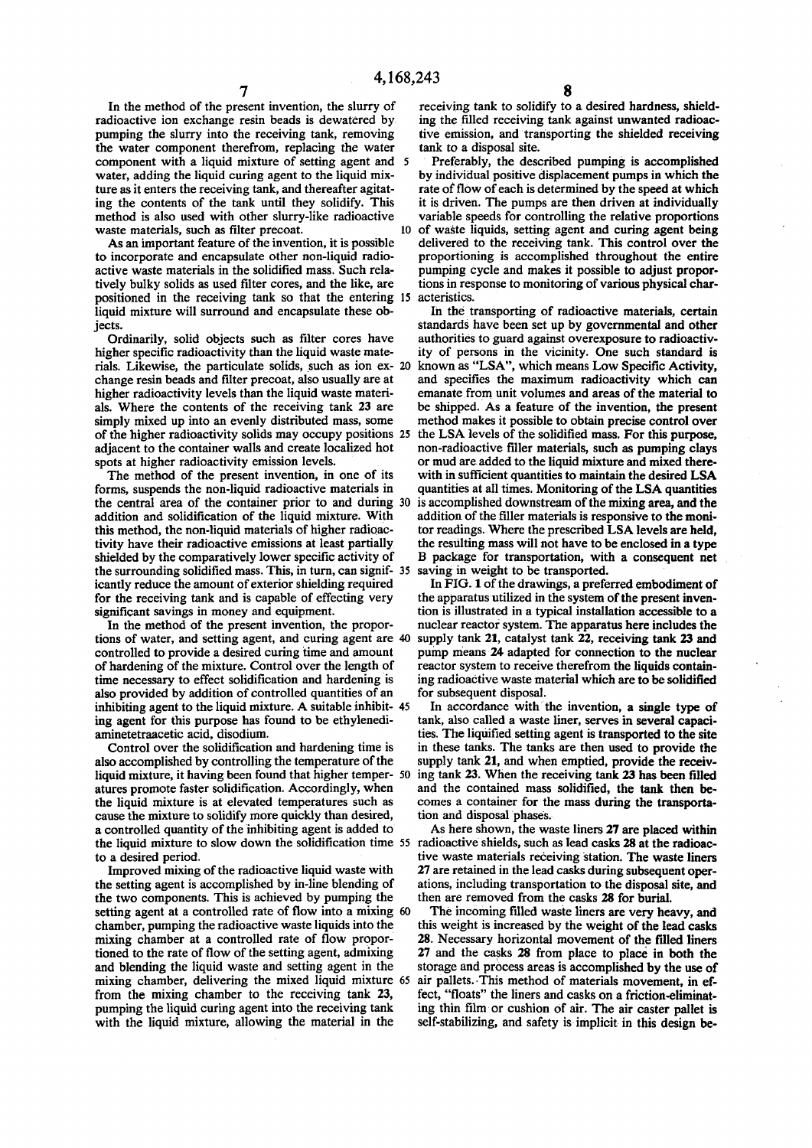**In the method of the present invention, the slurry of radioactive ion exchange resin beads is dewatered by pumping the slurry into the receiving tank, removing the water component therefrom, replacing the water component with a liquid mixture of setting agent and 5 water, adding the liquid curing agent to the liquid mixture as it enters the receiving tank, and thereafter agitating the contents of the tank until they solidify. This method is also used with other slurry-like radioactive**  waste materials, such as filter precoat. 10

**As an important feature of the invention, it is possible to incorporate and encapsulate other non-liquid radioactive waste materials in the solidified mass. Such relatively bulky solids as used filter cores, and the like, are positioned in the receiving tank so that the entering 15 liquid mixture will surround and encapsulate these objects.** 

**Ordinarily, solid objects such as filter cores have higher specific radioactivity than the liquid waste materials. Likewise, the particulate solids, such as ion ex- 20 change resin beads and filter precoat, also usually are at higher radioactivity levels than the liquid waste materials. Where the contents of the receiving tank 23 are simply mixed up into an evenly distributed mass, some of the higher radioactivity solids may occupy positions 25 the LSA levels of the solidified mass. For this purpose, adjacent to the container walls and create localized hot spots at higher radioactivity emission levels.** 

**The method of the present invention, in one of its forms, suspends the non-liquid radioactive materials in the central area of the container prior to and during 30 addition and solidification of the liquid mixture. With this method, the non-liquid materials of higher radioactivity have their radioactive emissions at least partially shielded by the comparatively lower specific activity of the surrounding solidified mass. This, in turn, can signif- 35 icantly reduce the amount of exterior shielding required for the receiving tank and is capable of effecting very significant savings in money and equipment.** 

**In the method of the present invention, the proportions of water, and setting agent, and curing agent are 40 controlled to provide a desired curing time and amount of hardening of the mixture. Control over the length of time necessary to effect solidification and hardening is also provided by addition of controlled quantities of an inhibiting agent to the liquid mixture. A suitable inhibit- 45 ing agent for this purpose has found to be ethylenediaminetetraacetic acid, disodium.** 

**Control over the solidification and hardening time is also accomplished by controlling the temperature of the**  liquid mixture, it having been found that higher temper- 50 ing tank 23. When the receiving tank 23 has been filled **atures promote faster solidification. Accordingly, when the liquid mixture is at elevated temperatures such as cause the mixture to solidify more quickly than desired, a controlled quantity of the inhibiting agent is added to**  the liquid mixture to slow down the solidification time 55 radioactive shields, such as lead casks 28 at the radioac**to a desired period.** 

**Improved mixing of the radioactive liquid waste with the setting agent is accomplished by in-line blending of the two components. This is achieved by pumping the setting agent at a controlled rate of flow into a mixing 60 chamber, pumping the radioactive waste liquids into the mixing chamber at a controlled rate of flow proportioned to the rate of flow of the setting agent, admixing and blending the liquid waste and setting agent in the mixing chamber, delivering the mixed liquid mixture 65 from the mixing chamber to the receiving tank 23, pumping the liquid curing agent into the receiving tank with the liquid mixture, allowing the material in the** 

**receiving tank to solidify to a desired hardness, shielding the filled receiving tank against unwanted radioactive emission, and transporting the shielded receiving tank to a disposal site.** 

**Preferably, the described pumping is accomplished by individual positive displacement pumps in which the rate of flow of each is determined by the speed at which it is driven. The pumps are then driven at individually variable speeds for controlling the relative proportions of waste liquids, setting agent and curing agent being delivered to the receiving tank. This control over the proportioning is accomplished throughout the entire pumping cycle and makes it possible to adjust proportions in response to monitoring of various physical characteristics.** 

In the transporting of radioactive materials, certain **standards have been set up by governmental and other authorities to guard against overexposure to radioactivity of persons in the vicinity. One such standard is known as "LSA", which means Low Specific Activity, and specifies the maximum radioactivity which can emanate from unit volumes and areas of the material to be shipped. As a feature of the invention, the present method makes it possible to obtain precise control over non-radioactive filler materials, such as pumping clays or mud are added to the liquid mixture and mixed therewith in sufficient quantities to maintain the desired LSA quantities at all times. Monitoring of the LSA quantities is accomplished downstream of the mixing area, and the addition of the filler materials is responsive to the monitor readings. Where the prescribed LSA levels are held, the resulting mass will not have to be enclosed in a type B package for transportation, with a consequent net saving in weight to be transported.** 

**In FIG. 1 of the drawings, a preferred embodiment of the apparatus utilized in the system of the present invention is illustrated in a typical installation accessible to a nuclear reactor system. The apparatus here includes the supply tank 21, catalyst tank 22, receiving tank 23 and pump means 24 adapted for connection to the nuclear reactor system to receive therefrom the liquids containing radioactive waste material which are to be solidified for subsequent disposal.** 

**In accordance with the invention, a single type of tank, also called a waste liner, serves in several capacities. The liquified setting agent is transported to the site in these tanks. The tanks are then used to provide the supply tank 21, and when emptied, provide the receivand the contained mass solidified, the tank then becomes a container for the mass during the transportation and disposal phases.** 

**As here shown, the waste liners 27 are placed within tive waste materials receiving station. The waste liners 27 are retained in the lead casks during subsequent operations, including transportation to the disposal site, and then are removed from the casks 28 for burial.** 

**The incoming filled waste liners are very heavy, and this weight is increased by the weight of the lead casks 28. Necessary horizontal movement of the filled liners 27 and the casks 28 from place to place in both the storage and process areas is accomplished by the use of air pallets. This method of materials movement, in effect, "floats" the liners and casks on a friction-eliminating thin film or cushion of air. The air caster pallet is self-stabilizing, and safety is implicit in this design be-**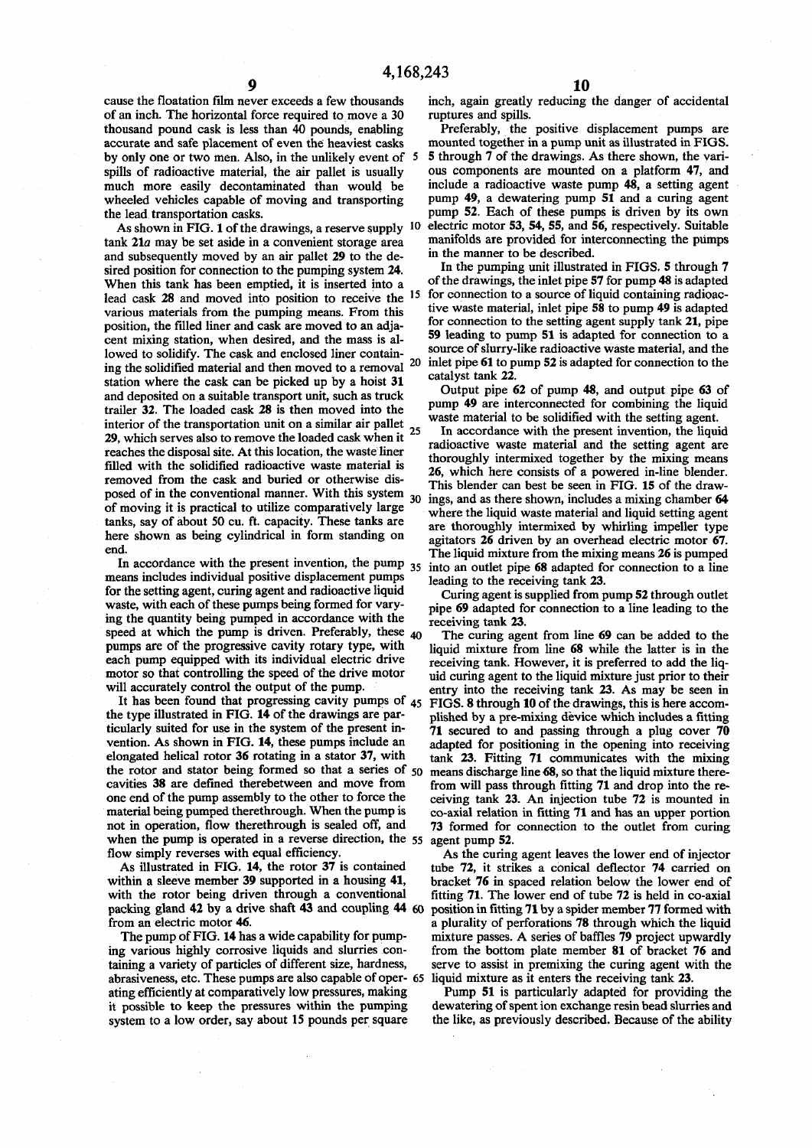**cause the floatation film never exceeds a few thousands of an inch. The horizontal force required to move a 30 thousand pound cask is less than 40 pounds, enabling accurate and safe placement of even the heaviest casks by only one or two men. Also, in the unlikely event of 5 spills of radioactive material, the air pallet is usually much more easily decontaminated than would be wheeled vehicles capable of moving and transporting the lead transportation casks.** 

**As shown in FIG. 1 of the drawings, a reserve supply 10 tank 21a may be set aside in a convenient storage area and subsequently moved by an air pallet 29 to the desired position for connection to the pumping system 24. When this tank has been emptied, it is inserted into a lead cask 28 and moved into position to receive the various materials from the pumping means. From this position, the filled liner and cask are moved to an adjacent mixing station, when desired, and the mass is allowed to solidify. The cask and enclosed liner containing the solidified material and then moved to a removal 2 0 station where the cask can be picked up by a hoist 31 and deposited on a suitable transport unit, such as truck trailer 32. The loaded cask 28 is then moved into the interior of the transportation unit on a similar air pallet<sup>2</sup> <sup>5</sup> 29, which serves also to remove the loaded cask when it reaches the disposal site. At this location, the waste liner filled with the solidified radioactive waste material is removed from the cask and buried or otherwise dis**posed of in the conventional manner. With this system <sup>30</sup> **of moving it is practical to utilize comparatively large tanks, say of about 50 cu. ft. capacity. These tanks are here shown as being cylindrical in form standing on end.** 

In accordance with the present invention, the pump 35 **means includes individual positive displacement pumps for the setting agent, curing agent and radioactive liquid waste, with each of these pumps being formed for varying the quantity being pumped in accordance with the**  speed at which the pump is driven. Preferably, these <sub>40</sub> **pumps are of the progressive cavity rotary type, with each pump equipped with its individual electric drive motor so that controlling the speed of the drive motor will accurately control the output of the pump.** 

**It has been found that progressing cavity pumps of 45 the type illustrated in FIG. 14 of the drawings are particularly suited for use in the system of the present invention. As shown in FIG. 14, these pumps include an elongated helical rotor 36 rotating in a stator 37, with the rotor and stator being formed so that a series of 50 cavities 38 are defined therebetween and move from one end of the pump assembly to the other to force the material being pumped therethrough. When the pump is not in operation, flow therethrough is sealed off, and when the pump is operated in a reverse direction, the 55 flow simply reverses with equal efficiency.** 

**As illustrated in FIG. 14, the rotor 37 is contained within a sleeve member 39 supported in a housing 41, with the rotor being driven through a conventional packing gland 42 by a drive shaft 43 and coupling 44 60 from an electric motor 46.** 

**The pump of FIG. 14 has a wide capability for pumping various highly corrosive liquids and slurries containing a variety of particles of different size, hardness, abrasiveness, etc. These pumps are also capable of oper- 65 ating efficiently at comparatively low pressures, making it possible to keep the pressures within the pumping system to a low order, say about 15 pounds per square** 

**inch, again greatly reducing the danger of accidental ruptures and spills.** 

**Preferably, the positive displacement pumps are mounted together in a pump unit as illustrated in FIGS. 5 through 7 of the drawings. As there shown, the various components are mounted on a platform 47, and include a radioactive waste pump 48, a setting agent pump 49, a dewatering pump 51 and a curing agent pump 52. Each of these pumps is driven by its own electric motor 53, 54, 55, and 56, respectively. Suitable manifolds are provided for interconnecting the pumps in the manner to be described.** 

 **15 for connection to a source of liquid containing radioac-In the pumping unit illustrated in FIGS. 5 through 7 of the drawings, the inlet pipe 57 for pump 48 is adapted tive waste material, inlet pipe 58 to pump 49 is adapted for connection to the setting agent supply tank 21, pipe 59 leading to pump 51 is adapted for connection to a source of slurry-like radioactive waste material, and the inlet pipe 61 to pump 52 is adapted for connection to the catalyst tank 22.** 

**Output pipe 62 of pump 48, and output pipe 63 of pump 49 are interconnected for combining the liquid waste material to be solidified with the setting agent.** 

**In accordance with the present invention, the liquid radioactive waste material and the setting agent are thoroughly intermixed together by the mixing means 26, which here consists of a powered in-line blender. This blender can best be seen in FIG. 15 of the drawings, and as there shown, includes a mixing chamber 64 where the liquid waste material and liquid setting agent are thoroughly intermixed by whirling impeller type agitators 26 driven by an overhead electric motor 67. The liquid mixture from the mixing means 26 is pumped into an outlet pipe 68 adapted for connection to a line leading to the receiving tank 23.** 

**Curing agent is supplied from pump 52 through outlet pipe 69 adapted for connection to a line leading to the receiving tank 23.** 

**The curing agent from line 69 can be added to the liquid mixture from line 68 while the latter is in the receiving tank. However, it is preferred to add the liquid curing agent to the liquid mixture just prior to their entry into the receiving tank 23. As may be seen in FIGS. 8 through 10 of the drawings, this is here accomplished by a pre-mixing device which includes a fitting 71 secured to and passing through a plug cover 70 adapted for positioning in the opening into receiving tank 23. Fitting 71 communicates with the mixing means discharge line 68, so that the liquid mixture therefrom will pass through fitting 71 and drop into the receiving tank 23. An injection tube 72 is mounted in co-axial relation in fitting 71 and has an upper portion 73 formed for connection to the outlet from curing agent pump 52.** 

**As the curing agent leaves the lower end of injector tube 72, it strikes a conical deflector 74 carried on bracket 76 in spaced relation below the lower end of fitting 71. The lower end of tube 72 is held in co-axial**  position in fitting 71 by a spider member 77 formed with **a plurality of perforations 78 through which the liquid mixture passes. A series of baffles 79 project upwardly from the bottom plate member 81 of bracket 76 and serve to assist in premixing the curing agent with the liquid mixture as it enters the receiving tank 23.** 

**Pump 51 is particularly adapted for providing the dewatering of spent ion exchange resin bead slurries and the like, as previously described. Because of the ability**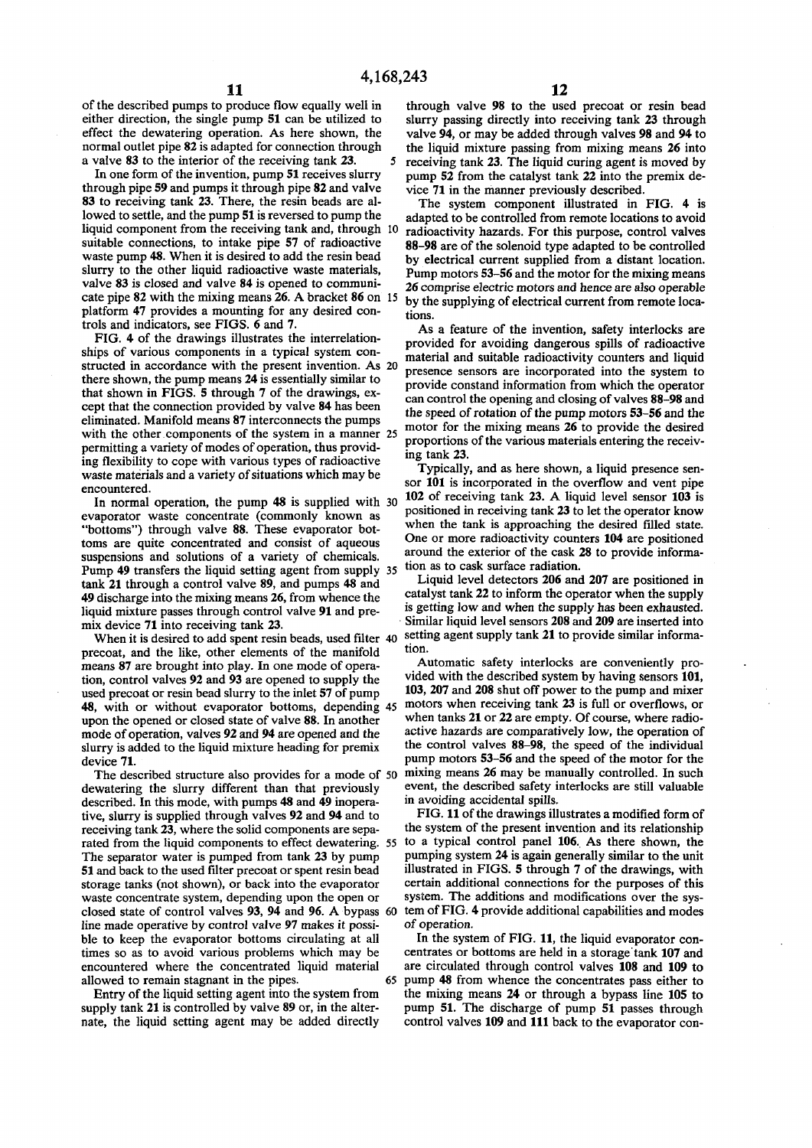**of the described pumps to produce flow equally well in either direction, the single pump 51 can be utilized to effect the dewatering operation. As here shown, the normal outlet pipe 82 is adapted for connection through**  a valve 83 to the interior of the receiving tank 23.

**In one form of the invention, pump 51 receives slurry through pipe 59 and pumps it through pipe 82 and valve 83 to receiving tank 23. There, the resin beads are allowed to settle, and the pump 51 is reversed to pump the liquid component from the receiving tank and, through 10 suitable connections, to intake pipe 57 of radioactive waste pump 48. When it is desired to add the resin bead slurry to the other liquid radioactive waste materials, valve 83 is closed and valve 84 is opened to communicate pipe 82 with the mixing means 26. A bracket 86 on 15 platform 47 provides a mounting for any desired controls and indicators, see FIGS. 6 and 7.** 

**FIG. 4 of the drawings illustrates the interrelationships of various components in a typical system constructed in accordance with the present invention. As 20 there shown, the pump means 24 is essentially similar to that shown in FIGS. 5 through 7 of the drawings, except that the connection provided by valve 84 has been eliminated. Manifold means 87 interconnects the pumps with the other components of the system in a manner 25 permitting a variety of modes of operation, thus providing flexibility to cope with various types of radioactive waste materials and a variety of situations which may be encountered.** 

**In normal operation, the pump 48 is supplied with 30 evaporator waste concentrate (commonly known as "bottoms") through valve 88. These evaporator bottoms are quite concentrated and consist of aqueous suspensions and solutions of a variety of chemicals. Pump 49 transfers the liquid setting agent from supply 35 tank 21 through a control valve 89, and pumps 48 and 49 discharge into the mixing means 26, from whence the liquid mixture passes through control valve 91 and premix device 71 into receiving tank 23.** 

**When it is desired to add spent resin beads, used filter 40 precoat, and the like, other elements of the manifold means 87 are brought into play. In one mode of operation, control valves 92 and 93 are opened to supply the used precoat or resin bead slurry to the inlet 57 of pump 48, with or without evaporator bottoms, depending 45 upon the opened or closed state of valve 88. In another mode of operation, valves 92 and 94 are opened and the slurry is added to the liquid mixture heading for premix device 71.** 

**The described structure also provides for a mode of 50 dewatering the slurry different than that previously described. In this mode, with pumps 48 and 49 inoperative, slurry is supplied through valves 92 and 94 and to receiving tank 23, where the solid components are separated from the liquid components to effect dewatering. 55 The separator water is pumped from tank 23 by pump 51 and back to the used filter precoat or spent resin bead storage tanks (not shown), or back into the evaporator waste concentrate system, depending upon the open or closed state of control valves 93, 94 and 96. A bypass 60 line made operative by control valve 97 makes it possible to keep the evaporator bottoms circulating at all times so as to avoid various problems which may be encountered where the concentrated liquid material allowed to remain stagnant in the pipes. 65** 

**Entry of the liquid setting agent into the system from supply tank 21 is controlled by valve 89 or, in the alternate, the liquid setting agent may be added directly** 

**through valve 98 to the used precoat or resin bead slurry passing directly into receiving tank 23 through valve 94, or may be added through valves 98 and 94 to the liquid mixture passing from mixing means 26 into receiving tank 23. The liquid curing agent is moved by pump 52 from the catalyst tank 22 into the premix device 71 in the manner previously described.** 

**The system component illustrated in FIG. 4 is adapted to be controlled from remote locations to avoid radioactivity hazards. For this purpose, control valves 88-98 are of the solenoid type adapted to be controlled by electrical current supplied from a distant location. Pump motors 53-56 and the motor for the mixing means 26 comprise electric motors and hence are also operable by the supplying of electrical current from remote locations.** 

**As a feature of the invention, safety interlocks are provided for avoiding dangerous spills of radioactive material and suitable radioactivity counters and liquid presence sensors are incorporated into the system to provide constand information from which the operator can control the opening and closing of valves 88-98 and the speed of rotation of the pump motors 53-56 and the motor for the mixing means 26 to provide the desired proportions of the various materials entering the receiving tank 23.** 

**Typically, and as here shown, a liquid presence sensor 101 is incorporated in the overflow and vent pipe 102 of receiving tank 23. A liquid level sensor 103 is positioned in receiving tank 23 to let the operator know when the tank is approaching the desired filled state. One or more radioactivity counters 104 are positioned around the exterior of the cask 28 to provide information as to cask surface radiation.** 

**Liquid level detectors 206 and 207 are positioned in catalyst tank 22 to inform the operator when the supply is getting low and when the supply has been exhausted. Similar liquid level sensors 208 and 209 are inserted into setting agent supply tank 21 to provide similar information.** 

**Automatic safety interlocks are conveniently provided with the described system by having sensors 101, 103, 207 and 208 shut off power to the pump and mixer motors when receiving tank 23 is full or overflows, or when tanks 21 or 22 are empty. Of course, where radioactive hazards are comparatively low, the operation of the control valves 88-98, the speed of the individual pump motors 53-56 and the speed of the motor for the mixing means 26 may be manually controlled. In such event, the described safety interlocks are still valuable in avoiding accidental spills.** 

**FIG. 11 of the drawings illustrates a modified form of the system of the present invention and its relationship to a typical control panel 106. As there shown, the pumping system 24 is again generally similar to the unit illustrated in FIGS. 5 through 7 of the drawings, with certain additional connections for the purposes of this system. The additions and modifications over the system of FIG. 4 provide additional capabilities and modes of operation.** 

**In the system of FIG. 11, the liquid evaporator concentrates or bottoms are held in a storage'tank 107 and are circulated through control valves 108 and 109 to pump 48 from whence the concentrates pass either to the mixing means 24 or through a bypass line 105 to pump 51. The discharge of pump 51 passes through control valves 109 and 111 back to the evaporator con-**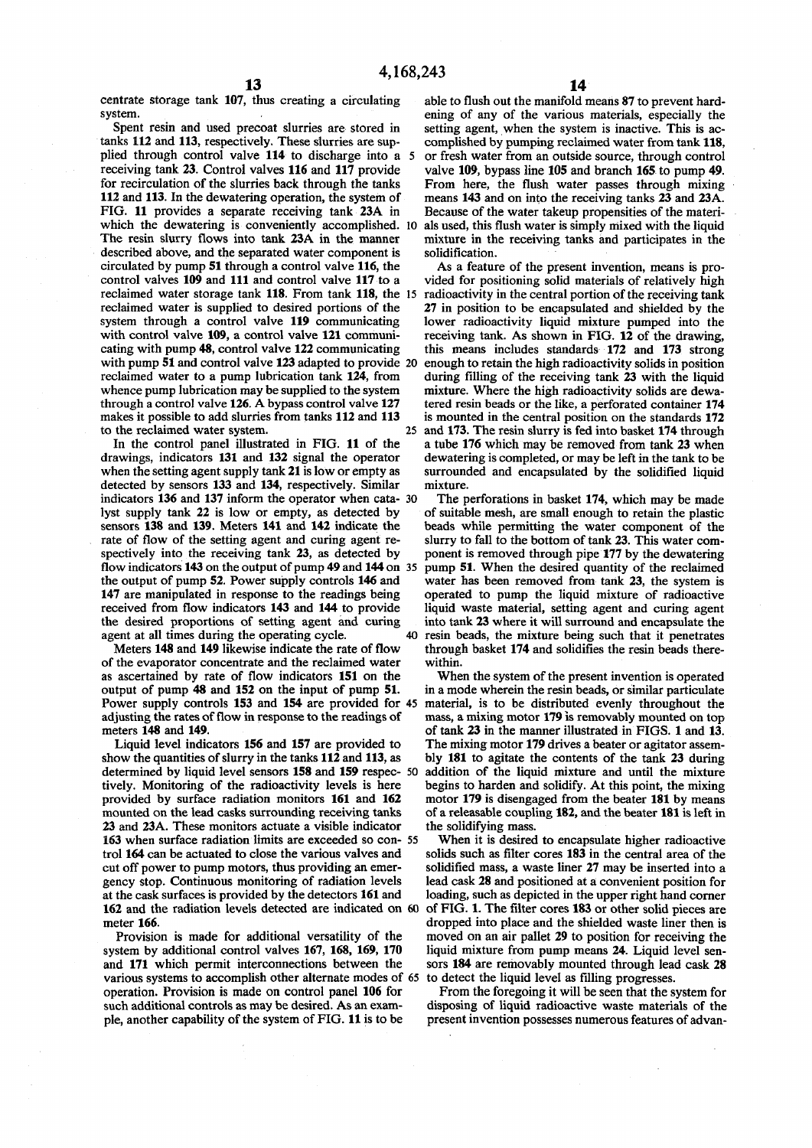**centrate storage tank 107, thus creating a circulating able to flush out the manifold means 87 to prevent hard-**

Spent resin and used precoat slurries are stored in setting agent, when the system is inactive. This is actanks 112 and 113, respectively. These slurries are sup-<br>complished by pumping reclaimed water from tank 118, **plied through control valve 114 to discharge into a 5 or fresh water from an outside source, through control receiving tank 23. Control valves 116 and 117 provide valve 109, bypass line 105 and branch 165 to pump 49. for recirculation of the slurries back through the tanks From here, the flush water passes through mixing 112 and 113. In the dewatering operation, the system of means 143 and on into the receiving tanks 23 and 23A. FIG. 11 provides a separate receiving tank 23A in Because of the water takeup propensities of the materi**which the dewatering is conveniently accomplished. 10 als used, this flush water is simply mixed with the liquid **The resin slurry flows into tank 23A in the manner mixture in the receiving tanks and participates in the described above, and the separated water component is solidification.**  circulated by pump 51 through a control valve 116, the As a feature of the present invention, means is pro-<br>
control valves 109 and 111 and control valve 117 to a vided for positioning solid materials of relatively high **reclaimed water storage tank 118. From tank 118, the 15 radioactivity in the central portion of the receiving tank reclaimed water is supplied to desired portions of the** 27 in position to be encapsulated and shielded by the system through a control valve 119 communicating lower radioactivity liquid mixture pumped into the with control valve 109, a control valve 121 communi-<br>receiving tank. As shown in FIG. 12 of the drawing, **eating with pump 48, control valve 122 communicating this means includes standards 172 and 173 strong with pump 51 and control valve 123 adapted to provide 20 enough to retain the high radioactivity solids in position reclaimed water to a pump lubrication tank 124, from during filling of the receiving tank 23 with the liquid**  whence pump lubrication may be supplied to the system mixture. Where the high radioactivity solids are dewa**through a control valve 126. A bypass control valve 127 tered resin beads or the like, a perforated container 174**  makes it possible to add slurries from tanks 112 and 113 is mounted in the central position on the standards 172

**drawings, indicators 131 and 132 signal the operator dewatering is completed, or may be left in the tank to be detected by sensors 133 and 134, respectively. Similar mixture.**  indicators 136 and 137 inform the operator when cata- 30 The perforations in basket 174, which may be made lyst supply tank 22 is low or empty, as detected by of suitable mesh, are small enough to retain the plastic **lyst supply tank 22 is low or empty, as detected by** of suitable mesh, are small enough to retain the plastic sensors **138** and **139**. Meters **141** and **142** indicate the beads while permitting the water component of the **rate of flow of the setting agent and curing agent re- slurry to fall to the bottom of tank 23. This water comspectively into the receiving tank 23, as detected by ponent is removed through pipe 177 by the dewatering flow indicators 143 on the output of pump 49 and 144 on 35 pump 51. When the desired quantity of the reclaimed the output of pump 52. Power supply controls 146 and water has been removed from tank 23, the system is 147 are manipulated in response to the readings being operated to pump the liquid mixture of radioactive received from flow indicators 143 and 144 to provide liquid waste material, setting agent and curing agent the desired proportions of setting agent and curing into tank 23 where it will surround and encapsulate the** 

of the evaporator concentrate and the reclaimed water as ascertained by rate of flow indicators **151** on the When the system of the present invention is operated output of pump **48** and **152** on the input of pump **51**. in a mode wherein the resin beads, or similar particulate output of pump 48 and 152 on the input of pump 51. **Power supply controls 153 and 154 are provided for 45 material, is to be distributed evenly throughout the adjusting the rates of flow in response to the readings of mass, a mixing motor 179 is removably mounted on top** 

**determined by liquid level sensors 158 and 159 respec- 50 addition of the liquid mixture and until the mixture tively. Monitoring of the radioactivity levels is here begins to harden and solidify. At this point, the mixing provided by surface radiation monitors 161 and 162 motor 179 is disengaged from the beater 181 by means 23 and 23A. These monitors actuate a visible indicator the solidifying mass. 163** when surface radiation limits are exceeded so con- 55 When it is desired to encapsulate higher radioactive trol **164** can be actuated to close the various valves and solids such as filter cores **183** in the central a **cut off power to pump motors, thus providing an emer- solidified mass, a waste liner 27 may be inserted into a gency stop. Continuous monitoring of radiation levels lead cask 28 and positioned at a convenient position for at the cask surfaces is provided by the detectors 161 and loading, such as depicted in the upper right hand corner 162 and the radiation levels detected are indicated on 60 of FIG. 1. The filter cores 183 or other solid pieces are meter 166. dropped into place and the shielded waste liner then is**  $\frac{d}{dx}$  **dropped into place and the shielded waste liner then is** 

**Provision is made for additional versatility of the** moved on an air pallet 29 to position for receiving the system by additional control valves 167, 168, 169, 170 liquid mixture from pump means 24. Liquid level senand 171 which permit interconnections between the sors 184 are removably mounted through lead cask 28 various systems to accomplish other alternate modes of 65 to detect the liquid level as filling progresses. various systems to accomplish other alternate modes of 65 **operation. Provision is made on control panel 106 for From the foregoing it will be seen that the system for such additional controls as may be desired. As an exam- disposing of liquid radioactive waste materials of the** 

**system. ening of any of the various materials, especially the**  complished by pumping reclaimed water from tank 118,

vided for positioning solid materials of relatively high lower radioactivity liquid mixture pumped into the **to the reclaimed water system. 25 and 173. The resin slurry is fed into basket 174 through**  In the control panel illustrated in FIG. 11 of the a tube 176 which may be removed from tank 23 when drawings, indicators 131 and 132 signal the operator dewatering is completed, or may be left in the tank to be surrounded and encapsulated by the solidified liquid

beads while permitting the water component of the **agent at all times during the operating cycle. 40 resin beads, the mixture being such that it penetrates**  Meters 148 and 149 likewise indicate the rate of flow through basket 174 and solidifies the resin beads there-<br>
the evaporator concentrate and the reclaimed water within.

mass, a mixing motor 179 is removably mounted on top meters 148 and 149.<br>Liquid level indicators 156 and 157 are provided to The mixing motor 179 drives a beater or agitator assem-Liquid level indicators 156 and 157 are provided to The mixing motor 179 drives a beater or agitator assem-<br>show the quantities of slurry in the tanks 112 and 113, as bly 181 to agitate the contents of the tank 23 during bly 181 to agitate the contents of the tank 23 during of a releasable coupling 182, and the beater 181 is left in

> solids such as filter cores 183 in the central area of the liquid mixture from pump means 24. Liquid level sen-

**pie, another capability of the system of FIG. 11 is to be present invention possesses numerous features of advan-**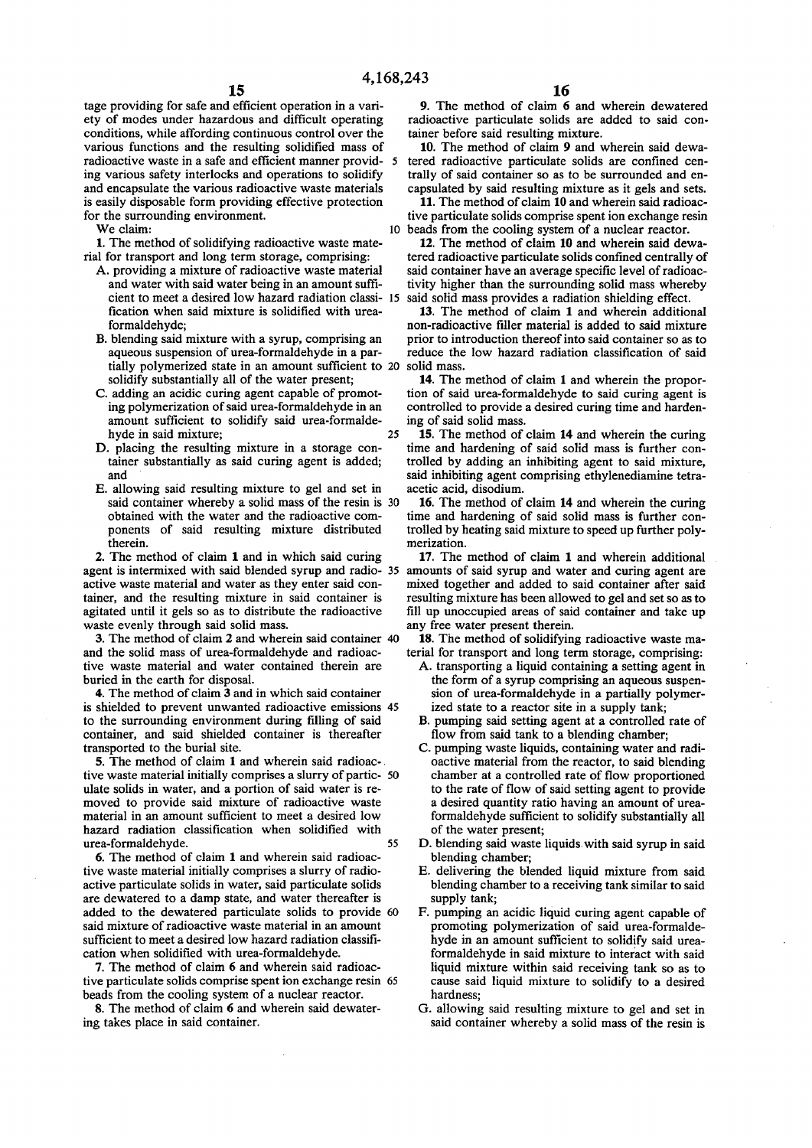**tage providing for safe and efficient operation in a variety of modes under hazardous and difficult operating conditions, while affording continuous control over the various functions and the resulting solidified mass of radioactive waste in a safe and efficient manner provid- 5 ing various safety interlocks and operations to solidify and encapsulate the various radioactive waste materials is easily disposable form providing effective protection for the surrounding environment.** 

**We claim: 10** 

**1. The method of solidifying radioactive waste material for transport and long term storage, comprising:** 

- **A. providing a mixture of radioactive waste material and water with said water being in an amount sufficient to meet a desired low hazard radiation classi- 15 fication when said mixture is solidified with ureaformaldehyde;**
- **B. blending said mixture with a syrup, comprising an aqueous suspension of urea-formaldehyde in a partially polymerized state in an amount sufficient to 20 solid mass. solidify substantially all of the water present;**
- **C. adding an acidic curing agent capable of promoting polymerization of said urea-formaldehyde in an amount sufficient to solidify said urea-formalde**hyde in said mixture; 25
- **D. placing the resulting mixture in a storage container substantially as said curing agent is added; and**
- **E. allowing said resulting mixture to gel and set in said container whereby a solid mass of the resin is 30 obtained with the water and the radioactive components of said resulting mixture distributed therein.**

**2. The method of claim 1 and in which said curing agent is intermixed with said blended syrup and radio- 35 amounts of said syrup and water and curing agent are active waste material and water as they enter said container, and the resulting mixture in said container is agitated until it gels so as to distribute the radioactive waste evenly through said solid mass.** 

**3. The method of claim 2 and wherein said container 40 and the solid mass of urea-formaldehyde and radioactive waste material and water contained therein are buried in the earth for disposal.** 

**4. The method of claim 3 and in which said container is shielded to prevent unwanted radioactive emissions 45 to the surrounding environment during filling of said container, and said shielded container is thereafter transported to the burial site.** 

**5. The method of claim 1 and wherein said radioac-. tive waste material initially comprises a slurry of partic- 50 ulate solids in water, and a portion of said water is removed to provide said mixture of radioactive waste material in an amount sufficient to meet a desired low hazard radiation classification when solidified with urea-formaldehyde. 55** 

**6. The method of claim 1 and wherein said radioactive waste material initially comprises a slurry of radioactive particulate solids in water, said particulate solids are dewatered to a damp state, and water thereafter is added to the dewatered particulate solids to provide 60 said mixture of radioactive waste material in an amount sufficient to meet a desired low hazard radiation classification when solidified with urea-formaldehyde.** 

**7. The method of claim 6 and wherein said radioactive particulate solids comprise spent ion exchange resin 65 beads from the cooling system of a nuclear reactor.** 

**8. The method of claim 6 and wherein said dewatering takes place in said container.** 

**9. The method of claim 6 and wherein dewatered radioactive particulate solids are added to said container before said resulting mixture.** 

**10. The method of claim 9 and wherein said dewatered radioactive particulate solids are confined centrally of said container so as to be surrounded and encapsulated by said resulting mixture as it gels and sets.** 

**11. The method of claim 10 and wherein said radioactive particulate solids comprise spent ion exchange resin beads from the cooling system of a nuclear reactor.** 

**12. The method of claim 10 and wherein said dewatered radioactive particulate solids confined centrally of said container have an average specific level of radioactivity higher than the surrounding solid mass whereby said solid mass provides a radiation shielding effect.** 

**13. The method of claim 1 and wherein additional non-radioactive filler material is added to said mixture prior to introduction thereof into said container so as to reduce the low hazard radiation classification of said** 

**14. The method of claim 1 and wherein the proportion of said urea-formaldehyde to said curing agent is controlled to provide a desired curing time and hardening of said solid mass.** 

**15. The method of claim 14 and wherein the curing time and hardening of said solid mass is further controlled by adding an inhibiting agent to said mixture, said inhibiting agent comprising ethylenediamine tetraacetic acid, disodium.** 

**16. The method of claim 14 and wherein the curing time and hardening of said solid mass is further controlled by heating said mixture to speed up further polymerization.** 

**17. The method of claim 1 and wherein additional mixed together and added to said container after said resulting mixture has been allowed to gel and set so as to fill up unoccupied areas of said container and take up any free water present therein.** 

**18. The method of solidifying radioactive waste material for transport and long term storage, comprising:** 

- **A. transporting a liquid containing a setting agent in the form of a syrup comprising an aqueous suspension of urea-formaldehyde in a partially polymerized state to a reactor site in a supply tank;**
- **B. pumping said setting agent at a controlled rate of flow from said tank to a blending chamber;**
- **C. pumping waste liquids, containing water and radioactive material from the reactor, to said blending chamber at a controlled rate of flow proportioned to the rate of flow of said setting agent to provide a desired quantity ratio having an amount of ureaformaldehyde sufficient to solidify substantially all of the water present;**
- **D. blending said waste liquids with said syrup in said blending chamber;**
- **E. delivering the blended liquid mixture from said blending chamber to a receiving tank similar to said supply tank;**
- **F. pumping an acidic liquid curing agent capable of promoting polymerization of said urea-formaldehyde in an amount sufficient to solidify said ureaformaldehyde in said mixture to interact with said liquid mixture within said receiving tank so as to cause said liquid mixture to solidify to a desired hardness;**
- **G. allowing said resulting mixture to gel and set in said container whereby a solid mass of the resin is**